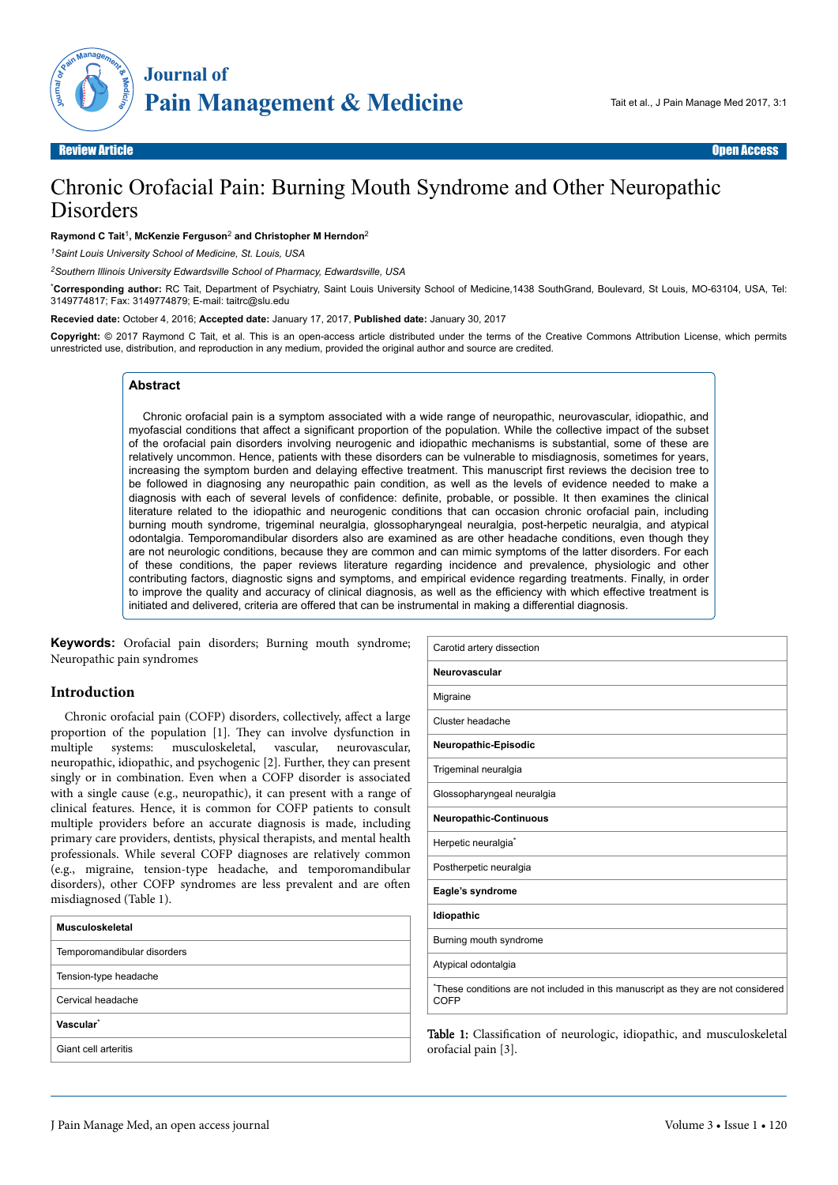

# Chronic Orofacial Pain: Burning Mouth Syndrome and Other Neuropathic **Disorders**

#### **Raymond C Tait**<sup>1</sup> **, McKenzie Ferguson**<sup>2</sup>  **and Christopher M Herndon**<sup>2</sup>

*<sup>1</sup>Saint Louis University School of Medicine, St. Louis, USA*

*<sup>2</sup>Southern Illinois University Edwardsville School of Pharmacy, Edwardsville, USA*

\***Corresponding author:** RC Tait, Department of Psychiatry, Saint Louis University School of Medicine,1438 SouthGrand, Boulevard, St Louis, MO-63104, USA, Tel: 3149774817; Fax: 3149774879; E-mail: taitrc@slu.edu

**Recevied date:** October 4, 2016; **Accepted date:** January 17, 2017, **Published date:** January 30, 2017

**Copyright:** © 2017 Raymond C Tait, et al. This is an open-access article distributed under the terms of the Creative Commons Attribution License, which permits unrestricted use, distribution, and reproduction in any medium, provided the original author and source are credited.

## **Abstract**

Chronic orofacial pain is a symptom associated with a wide range of neuropathic, neurovascular, idiopathic, and myofascial conditions that affect a significant proportion of the population. While the collective impact of the subset of the orofacial pain disorders involving neurogenic and idiopathic mechanisms is substantial, some of these are relatively uncommon. Hence, patients with these disorders can be vulnerable to misdiagnosis, sometimes for years, increasing the symptom burden and delaying effective treatment. This manuscript first reviews the decision tree to be followed in diagnosing any neuropathic pain condition, as well as the levels of evidence needed to make a diagnosis with each of several levels of confidence: definite, probable, or possible. It then examines the clinical literature related to the idiopathic and neurogenic conditions that can occasion chronic orofacial pain, including burning mouth syndrome, trigeminal neuralgia, glossopharyngeal neuralgia, post-herpetic neuralgia, and atypical odontalgia. Temporomandibular disorders also are examined as are other headache conditions, even though they are not neurologic conditions, because they are common and can mimic symptoms of the latter disorders. For each of these conditions, the paper reviews literature regarding incidence and prevalence, physiologic and other contributing factors, diagnostic signs and symptoms, and empirical evidence regarding treatments. Finally, in order to improve the quality and accuracy of clinical diagnosis, as well as the efficiency with which effective treatment is initiated and delivered, criteria are offered that can be instrumental in making a differential diagnosis.

**Keywords:** Orofacial pain disorders; Burning mouth syndrome; Neuropathic pain syndromes

#### **Introduction**

Chronic orofacial pain (COFP) disorders, collectively, affect a large proportion of the population [1]. They can involve dysfunction in multiple systems: musculoskeletal, vascular, neurovascular, neuropathic, idiopathic, and psychogenic [2]. Further, they can present singly or in combination. Even when a COFP disorder is associated with a single cause (e.g., neuropathic), it can present with a range of clinical features. Hence, it is common for COFP patients to consult multiple providers before an accurate diagnosis is made, including primary care providers, dentists, physical therapists, and mental health professionals. While several COFP diagnoses are relatively common (e.g., migraine, tension-type headache, and temporomandibular disorders), other COFP syndromes are less prevalent and are often misdiagnosed (Table 1).

| Musculoskeletal             |  |  |  |  |
|-----------------------------|--|--|--|--|
| Temporomandibular disorders |  |  |  |  |
| Tension-type headache       |  |  |  |  |
| Cervical headache           |  |  |  |  |
| Vascular <sup>*</sup>       |  |  |  |  |
| Giant cell arteritis        |  |  |  |  |

| Carotid artery dissection                                                               |
|-----------------------------------------------------------------------------------------|
| Neurovascular                                                                           |
| Migraine                                                                                |
| Cluster headache                                                                        |
| Neuropathic-Episodic                                                                    |
| Trigeminal neuralgia                                                                    |
| Glossopharyngeal neuralgia                                                              |
| <b>Neuropathic-Continuous</b>                                                           |
| Herpetic neuralgia <sup>*</sup>                                                         |
| Postherpetic neuralgia                                                                  |
| Eagle's syndrome                                                                        |
| Idiopathic                                                                              |
| Burning mouth syndrome                                                                  |
| Atypical odontalgia                                                                     |
| These conditions are not included in this manuscript as they are not considered<br>COFP |

Table 1: Classification of neurologic, idiopathic, and musculoskeletal orofacial pain [3].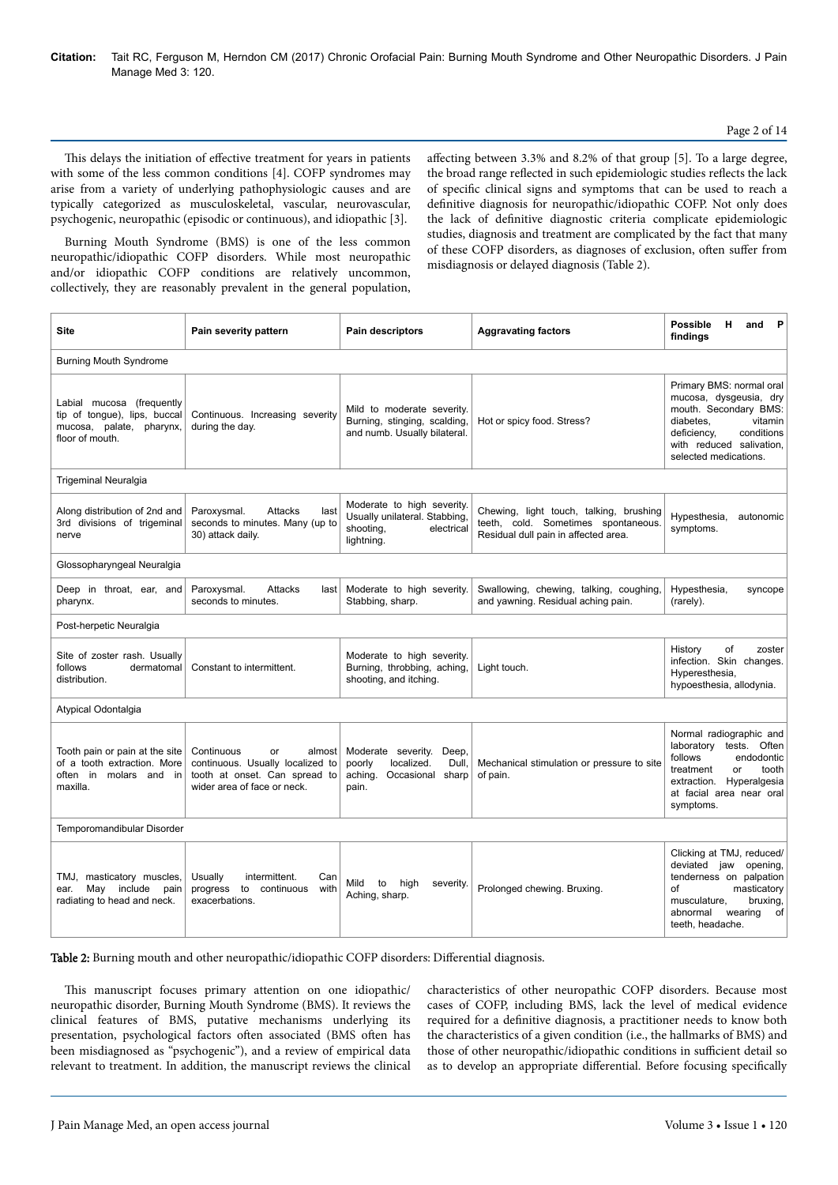### Page 2 of 14

This delays the initiation of effective treatment for years in patients with some of the less common conditions [4]. COFP syndromes may arise from a variety of underlying pathophysiologic causes and are typically categorized as musculoskeletal, vascular, neurovascular, psychogenic, neuropathic (episodic or continuous), and idiopathic [3].

affecting between 3.3% and 8.2% of that group [5]. To a large degree, the broad range reflected in such epidemiologic studies reflects the lack of specific clinical signs and symptoms that can be used to reach a definitive diagnosis for neuropathic/idiopathic COFP. Not only does the lack of definitive diagnostic criteria complicate epidemiologic studies, diagnosis and treatment are complicated by the fact that many of these COFP disorders, as diagnoses of exclusion, often suffer from misdiagnosis or delayed diagnosis (Table 2).

Burning Mouth Syndrome (BMS) is one of the less common neuropathic/idiopathic COFP disorders. While most neuropathic and/or idiopathic COFP conditions are relatively uncommon, collectively, they are reasonably prevalent in the general population,

| <b>Site</b>                                                                                              | Pain severity pattern                                                                                                          | Pain descriptors                                                                                     | <b>Aggravating factors</b>                                                                                             | <b>Possible</b><br>P<br>н<br>and<br>findings                                                                                                                                          |  |
|----------------------------------------------------------------------------------------------------------|--------------------------------------------------------------------------------------------------------------------------------|------------------------------------------------------------------------------------------------------|------------------------------------------------------------------------------------------------------------------------|---------------------------------------------------------------------------------------------------------------------------------------------------------------------------------------|--|
| <b>Burning Mouth Syndrome</b>                                                                            |                                                                                                                                |                                                                                                      |                                                                                                                        |                                                                                                                                                                                       |  |
| Labial mucosa (frequently<br>tip of tonque), lips, buccal<br>mucosa, palate, pharynx,<br>floor of mouth. | Continuous. Increasing severity<br>during the day.                                                                             | Mild to moderate severity.<br>Burning, stinging, scalding,<br>and numb. Usually bilateral.           | Hot or spicy food. Stress?                                                                                             | Primary BMS: normal oral<br>mucosa, dysgeusia, dry<br>mouth. Secondary BMS:<br>vitamin<br>diabetes.<br>conditions<br>deficiency,<br>with reduced salivation,<br>selected medications. |  |
| <b>Trigeminal Neuralgia</b>                                                                              |                                                                                                                                |                                                                                                      |                                                                                                                        |                                                                                                                                                                                       |  |
| Along distribution of 2nd and<br>3rd divisions of trigeminal<br>nerve                                    | Paroxysmal.<br>Attacks<br>last<br>seconds to minutes. Many (up to<br>30) attack daily.                                         | Moderate to high severity.<br>Usually unilateral. Stabbing,<br>shooting,<br>electrical<br>lightning. | Chewing, light touch, talking, brushing<br>teeth, cold. Sometimes spontaneous.<br>Residual dull pain in affected area. | Hypesthesia,<br>autonomic<br>symptoms.                                                                                                                                                |  |
| Glossopharyngeal Neuralgia                                                                               |                                                                                                                                |                                                                                                      |                                                                                                                        |                                                                                                                                                                                       |  |
| Deep in throat, ear, and<br>pharynx.                                                                     | Paroxysmal.<br>Attacks<br>last<br>seconds to minutes.                                                                          | Moderate to high severity.<br>Stabbing, sharp.                                                       | Swallowing, chewing, talking, coughing,<br>and yawning. Residual aching pain.                                          | Hypesthesia,<br>syncope<br>(rarely).                                                                                                                                                  |  |
| Post-herpetic Neuralgia                                                                                  |                                                                                                                                |                                                                                                      |                                                                                                                        |                                                                                                                                                                                       |  |
| Site of zoster rash. Usually<br>follows<br>dermatomal<br>distribution.                                   | Constant to intermittent.                                                                                                      | Moderate to high severity.<br>Burning, throbbing, aching,<br>shooting, and itching.                  | Light touch.                                                                                                           | of<br>History<br>zoster<br>infection. Skin changes.<br>Hyperesthesia,<br>hypoesthesia, allodynia.                                                                                     |  |
| Atypical Odontalgia                                                                                      |                                                                                                                                |                                                                                                      |                                                                                                                        |                                                                                                                                                                                       |  |
| Tooth pain or pain at the site<br>of a tooth extraction. More<br>often in molars and in<br>maxilla.      | Continuous<br>almost<br>or<br>continuous. Usually localized to<br>tooth at onset. Can spread to<br>wider area of face or neck. | Moderate severity.<br>Deep.<br>poorly<br>localized.<br>Dull,<br>aching. Occasional sharp<br>pain.    | Mechanical stimulation or pressure to site<br>of pain.                                                                 | Normal radiographic and<br>laboratory tests. Often<br>follows<br>endodontic<br>treatment<br>or<br>tooth<br>extraction. Hyperalgesia<br>at facial area near oral<br>symptoms.          |  |
| Temporomandibular Disorder                                                                               |                                                                                                                                |                                                                                                      |                                                                                                                        |                                                                                                                                                                                       |  |
| TMJ, masticatory muscles,<br>May include<br>pain<br>ear.<br>radiating to head and neck.                  | Usually<br>intermittent.<br>Can<br>to<br>progress<br>continuous<br>with<br>exacerbations.                                      | Mild<br>to<br>high<br>severity.<br>Aching, sharp.                                                    | Prolonged chewing. Bruxing.                                                                                            | Clicking at TMJ, reduced/<br>deviated jaw<br>opening,<br>tenderness on palpation<br>masticatory<br>οf<br>bruxing,<br>musculature,<br>abnormal<br>wearing<br>оf<br>teeth, headache.    |  |

Table 2: Burning mouth and other neuropathic/idiopathic COFP disorders: Differential diagnosis.

This manuscript focuses primary attention on one idiopathic/ neuropathic disorder, Burning Mouth Syndrome (BMS). It reviews the clinical features of BMS, putative mechanisms underlying its presentation, psychological factors often associated (BMS often has been misdiagnosed as "psychogenic"), and a review of empirical data relevant to treatment. In addition, the manuscript reviews the clinical characteristics of other neuropathic COFP disorders. Because most cases of COFP, including BMS, lack the level of medical evidence required for a definitive diagnosis, a practitioner needs to know both the characteristics of a given condition (i.e., the hallmarks of BMS) and those of other neuropathic/idiopathic conditions in sufficient detail so as to develop an appropriate differential. Before focusing specifically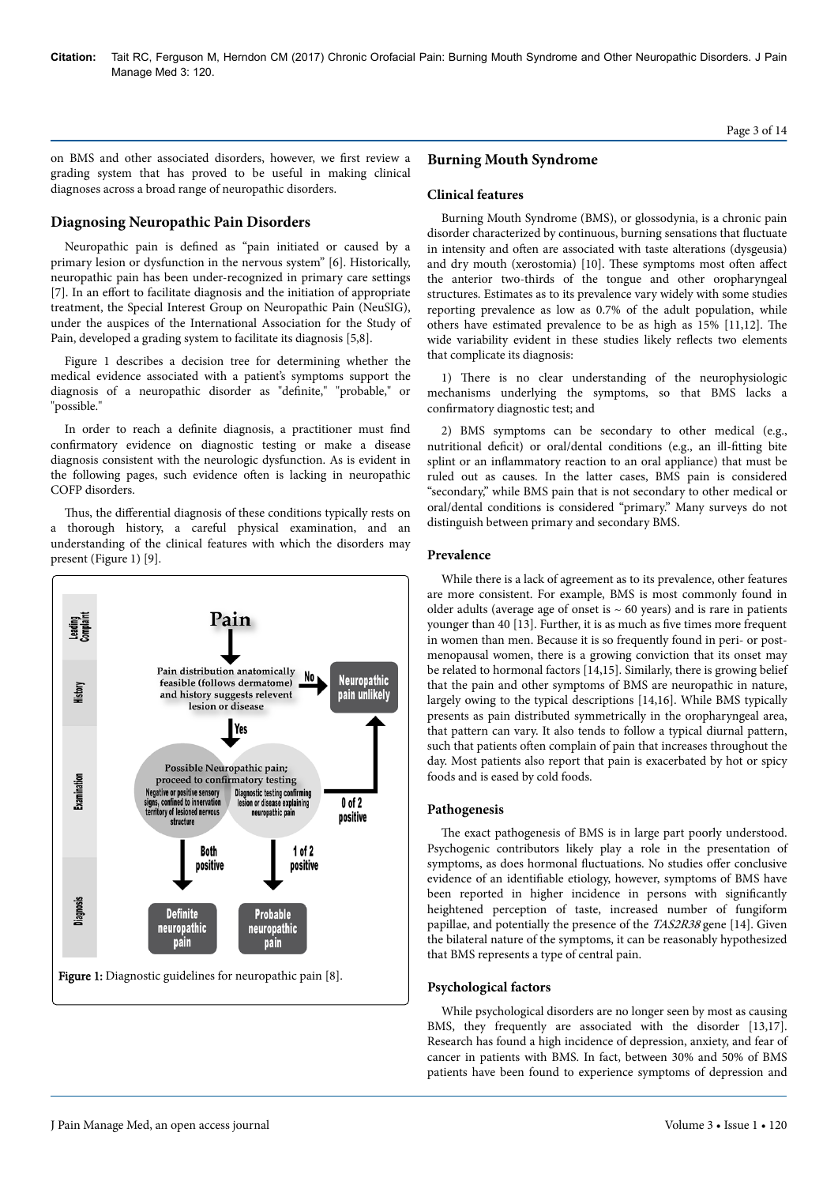on BMS and other associated disorders, however, we first review a grading system that has proved to be useful in making clinical diagnoses across a broad range of neuropathic disorders.

# **Diagnosing Neuropathic Pain Disorders**

Neuropathic pain is defined as "pain initiated or caused by a primary lesion or dysfunction in the nervous system" [6]. Historically, neuropathic pain has been under-recognized in primary care settings [7]. In an effort to facilitate diagnosis and the initiation of appropriate treatment, the Special Interest Group on Neuropathic Pain (NeuSIG), under the auspices of the International Association for the Study of Pain, developed a grading system to facilitate its diagnosis [5,8].

Figure 1 describes a decision tree for determining whether the medical evidence associated with a patient's symptoms support the diagnosis of a neuropathic disorder as "definite," "probable," or "possible."

In order to reach a definite diagnosis, a practitioner must find confirmatory evidence on diagnostic testing or make a disease diagnosis consistent with the neurologic dysfunction. As is evident in the following pages, such evidence often is lacking in neuropathic COFP disorders.

Thus, the differential diagnosis of these conditions typically rests on a thorough history, a careful physical examination, and an understanding of the clinical features with which the disorders may present (Figure 1) [9].



# **Burning Mouth Syndrome**

## **Clinical features**

Burning Mouth Syndrome (BMS), or glossodynia, is a chronic pain disorder characterized by continuous, burning sensations that fluctuate in intensity and often are associated with taste alterations (dysgeusia) and dry mouth (xerostomia) [10]. These symptoms most often affect the anterior two-thirds of the tongue and other oropharyngeal structures. Estimates as to its prevalence vary widely with some studies reporting prevalence as low as 0.7% of the adult population, while others have estimated prevalence to be as high as 15% [11,12]. Нe wide variability evident in these studies likely reflects two elements that complicate its diagnosis:

1) Нere is no clear understanding of the neurophysiologic mechanisms underlying the symptoms, so that BMS lacks a confirmatory diagnostic test; and

2) BMS symptoms can be secondary to other medical (e.g., nutritional deficit) or oral/dental conditions (e.g., an ill-fitting bite splint or an inflammatory reaction to an oral appliance) that must be ruled out as causes. In the latter cases, BMS pain is considered "secondary," while BMS pain that is not secondary to other medical or oral/dental conditions is considered "primary." Many surveys do not distinguish between primary and secondary BMS.

## **Prevalence**

While there is a lack of agreement as to its prevalence, other features are more consistent. For example, BMS is most commonly found in older adults (average age of onset is  $\sim$  60 years) and is rare in patients younger than 40 [13]. Further, it is as much as five times more frequent in women than men. Because it is so frequently found in peri- or postmenopausal women, there is a growing conviction that its onset may be related to hormonal factors [14,15]. Similarly, there is growing belief that the pain and other symptoms of BMS are neuropathic in nature, largely owing to the typical descriptions [14,16]. While BMS typically presents as pain distributed symmetrically in the oropharyngeal area, that pattern can vary. It also tends to follow a typical diurnal pattern, such that patients often complain of pain that increases throughout the day. Most patients also report that pain is exacerbated by hot or spicy foods and is eased by cold foods.

## **Pathogenesis**

The exact pathogenesis of BMS is in large part poorly understood. Psychogenic contributors likely play a role in the presentation of symptoms, as does hormonal fluctuations. No studies offer conclusive evidence of an identifiable etiology, however, symptoms of BMS have been reported in higher incidence in persons with significantly heightened perception of taste, increased number of fungiform papillae, and potentially the presence of the TAS2R38 gene [14]. Given the bilateral nature of the symptoms, it can be reasonably hypothesized that BMS represents a type of central pain.

#### **Psychological factors**

While psychological disorders are no longer seen by most as causing BMS, they frequently are associated with the disorder [13,17]. Research has found a high incidence of depression, anxiety, and fear of cancer in patients with BMS. In fact, between 30% and 50% of BMS patients have been found to experience symptoms of depression and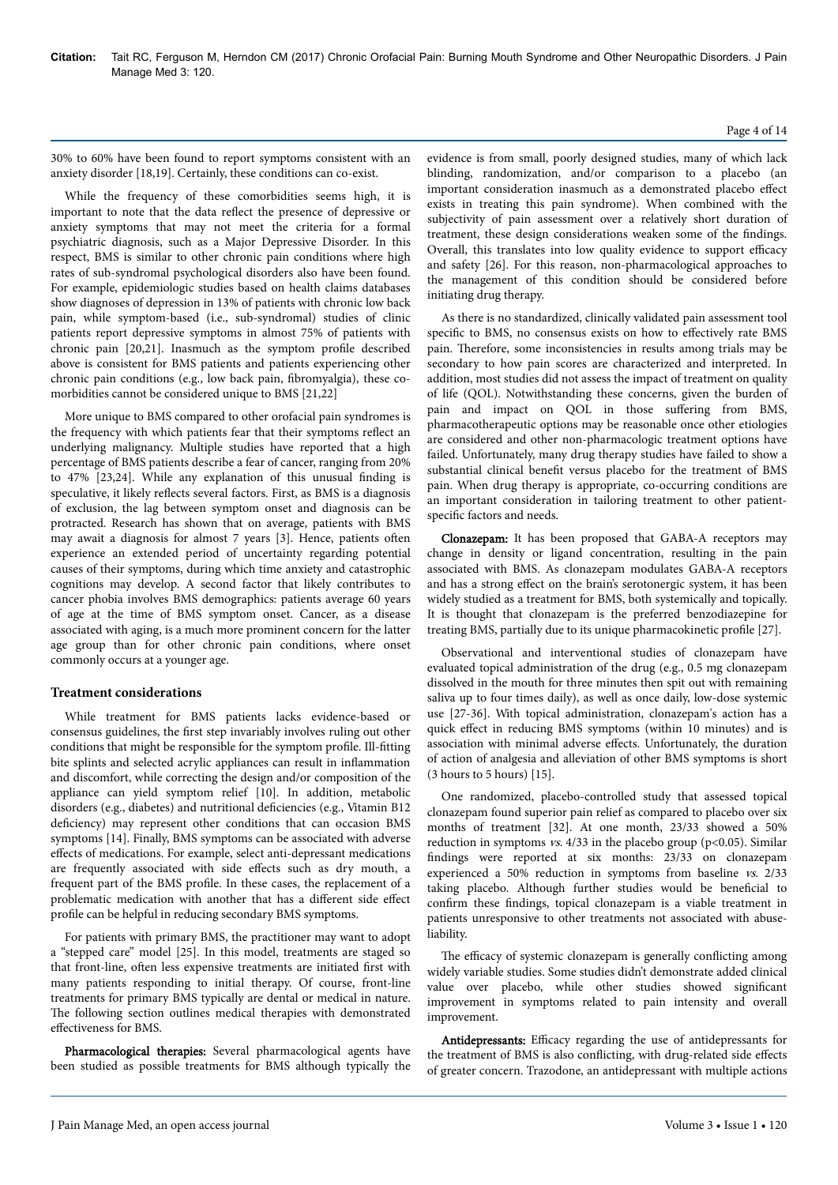#### 30% to 60% have been found to report symptoms consistent with an anxiety disorder [18,19]. Certainly, these conditions can co-exist.

While the frequency of these comorbidities seems high, it is important to note that the data reflect the presence of depressive or anxiety symptoms that may not meet the criteria for a formal psychiatric diagnosis, such as a Major Depressive Disorder. In this respect, BMS is similar to other chronic pain conditions where high rates of sub-syndromal psychological disorders also have been found. For example, epidemiologic studies based on health claims databases show diagnoses of depression in 13% of patients with chronic low back pain, while symptom-based (i.e., sub-syndromal) studies of clinic patients report depressive symptoms in almost 75% of patients with chronic pain [20,21]. Inasmuch as the symptom profile described above is consistent for BMS patients and patients experiencing other chronic pain conditions (e.g., low back pain, fibromyalgia), these comorbidities cannot be considered unique to BMS [21,22]

More unique to BMS compared to other orofacial pain syndromes is the frequency with which patients fear that their symptoms reflect an underlying malignancy. Multiple studies have reported that a high percentage of BMS patients describe a fear of cancer, ranging from 20% to 47% [23,24]. While any explanation of this unusual finding is speculative, it likely reflects several factors. First, as BMS is a diagnosis of exclusion, the lag between symptom onset and diagnosis can be protracted. Research has shown that on average, patients with BMS may await a diagnosis for almost 7 years [3]. Hence, patients often experience an extended period of uncertainty regarding potential causes of their symptoms, during which time anxiety and catastrophic cognitions may develop. A second factor that likely contributes to cancer phobia involves BMS demographics: patients average 60 years of age at the time of BMS symptom onset. Cancer, as a disease associated with aging, is a much more prominent concern for the latter age group than for other chronic pain conditions, where onset commonly occurs at a younger age.

## **Treatment considerations**

While treatment for BMS patients lacks evidence-based or consensus guidelines, the first step invariably involves ruling out other conditions that might be responsible for the symptom profile. Ill-fitting bite splints and selected acrylic appliances can result in inflammation and discomfort, while correcting the design and/or composition of the appliance can yield symptom relief [10]. In addition, metabolic disorders (e.g., diabetes) and nutritional deficiencies (e.g., Vitamin B12 deficiency) may represent other conditions that can occasion BMS symptoms [14]. Finally, BMS symptoms can be associated with adverse effects of medications. For example, select anti-depressant medications are frequently associated with side effects such as dry mouth, a frequent part of the BMS profile. In these cases, the replacement of a problematic medication with another that has a different side effect profile can be helpful in reducing secondary BMS symptoms.

For patients with primary BMS, the practitioner may want to adopt a "stepped care" model [25]. In this model, treatments are staged so that front-line, often less expensive treatments are initiated first with many patients responding to initial therapy. Of course, front-line treatments for primary BMS typically are dental or medical in nature. The following section outlines medical therapies with demonstrated effectiveness for BMS.

Pharmacological therapies: Several pharmacological agents have been studied as possible treatments for BMS although typically the evidence is from small, poorly designed studies, many of which lack blinding, randomization, and/or comparison to a placebo (an important consideration inasmuch as a demonstrated placebo effect exists in treating this pain syndrome). When combined with the subjectivity of pain assessment over a relatively short duration of treatment, these design considerations weaken some of the findings. Overall, this translates into low quality evidence to support efficacy and safety [26]. For this reason, non-pharmacological approaches to the management of this condition should be considered before initiating drug therapy.

As there is no standardized, clinically validated pain assessment tool specific to BMS, no consensus exists on how to effectively rate BMS pain. Нerefore, some inconsistencies in results among trials may be secondary to how pain scores are characterized and interpreted. In addition, most studies did not assess the impact of treatment on quality of life (QOL). Notwithstanding these concerns, given the burden of pain and impact on QOL in those suffering from BMS, pharmacotherapeutic options may be reasonable once other etiologies are considered and other non-pharmacologic treatment options have failed. Unfortunately, many drug therapy studies have failed to show a substantial clinical benefit versus placebo for the treatment of BMS pain. When drug therapy is appropriate, co-occurring conditions are an important consideration in tailoring treatment to other patientspecific factors and needs.

Clonazepam: It has been proposed that GABA-A receptors may change in density or ligand concentration, resulting in the pain associated with BMS. As clonazepam modulates GABA-A receptors and has a strong effect on the brain's serotonergic system, it has been widely studied as a treatment for BMS, both systemically and topically. It is thought that clonazepam is the preferred benzodiazepine for treating BMS, partially due to its unique pharmacokinetic profile [27].

Observational and interventional studies of clonazepam have evaluated topical administration of the drug (e.g., 0.5 mg clonazepam dissolved in the mouth for three minutes then spit out with remaining saliva up to four times daily), as well as once daily, low-dose systemic use [27-36]. With topical administration, clonazepam's action has a quick effect in reducing BMS symptoms (within 10 minutes) and is association with minimal adverse effects. Unfortunately, the duration of action of analgesia and alleviation of other BMS symptoms is short (3 hours to 5 hours) [15].

One randomized, placebo-controlled study that assessed topical clonazepam found superior pain relief as compared to placebo over six months of treatment [32]. At one month, 23/33 showed a 50% reduction in symptoms  $vs. 4/33$  in the placebo group (p<0.05). Similar findings were reported at six months: 23/33 on clonazepam experienced a 50% reduction in symptoms from baseline vs. 2/33 taking placebo. Although further studies would be beneficial to confirm these findings, topical clonazepam is a viable treatment in patients unresponsive to other treatments not associated with abuseliability.

The efficacy of systemic clonazepam is generally conflicting among widely variable studies. Some studies didn't demonstrate added clinical value over placebo, while other studies showed significant improvement in symptoms related to pain intensity and overall improvement.

Antidepressants: Efficacy regarding the use of antidepressants for the treatment of BMS is also conflicting, with drug-related side effects of greater concern. Trazodone, an antidepressant with multiple actions

#### Page 4 of 14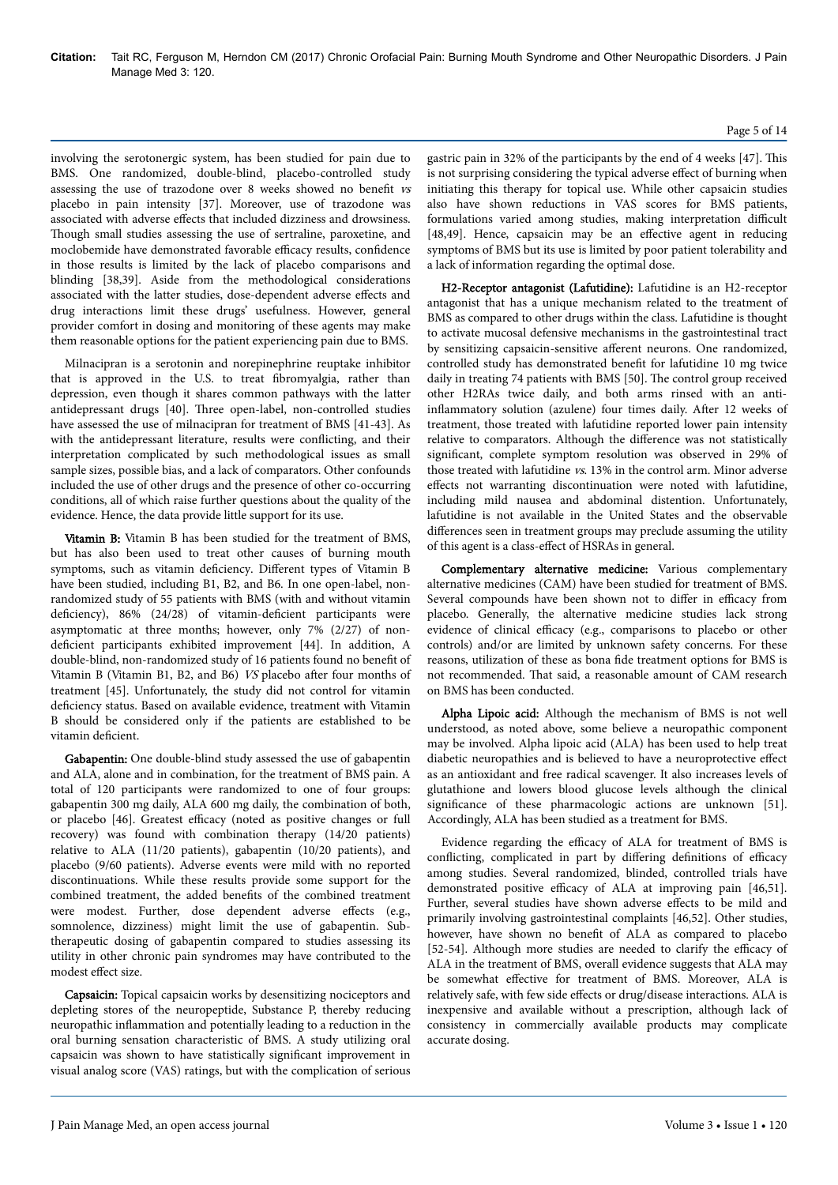involving the serotonergic system, has been studied for pain due to BMS. One randomized, double-blind, placebo-controlled study assessing the use of trazodone over 8 weeks showed no benefit vs placebo in pain intensity [37]. Moreover, use of trazodone was associated with adverse effects that included dizziness and drowsiness. Though small studies assessing the use of sertraline, paroxetine, and moclobemide have demonstrated favorable efficacy results, confidence in those results is limited by the lack of placebo comparisons and blinding [38,39]. Aside from the methodological considerations associated with the latter studies, dose-dependent adverse effects and drug interactions limit these drugs' usefulness. However, general provider comfort in dosing and monitoring of these agents may make them reasonable options for the patient experiencing pain due to BMS.

Milnacipran is a serotonin and norepinephrine reuptake inhibitor that is approved in the U.S. to treat fibromyalgia, rather than depression, even though it shares common pathways with the latter antidepressant drugs [40]. Нree open-label, non-controlled studies have assessed the use of milnacipran for treatment of BMS [41-43]. As with the antidepressant literature, results were conflicting, and their interpretation complicated by such methodological issues as small sample sizes, possible bias, and a lack of comparators. Other confounds included the use of other drugs and the presence of other co-occurring conditions, all of which raise further questions about the quality of the evidence. Hence, the data provide little support for its use.

Vitamin B: Vitamin B has been studied for the treatment of BMS, but has also been used to treat other causes of burning mouth symptoms, such as vitamin deficiency. Different types of Vitamin B have been studied, including B1, B2, and B6. In one open-label, nonrandomized study of 55 patients with BMS (with and without vitamin deficiency),  $86\%$  (24/28) of vitamin-deficient participants were asymptomatic at three months; however, only 7% (2/27) of nondeficient participants exhibited improvement [44]. In addition, A double-blind, non-randomized study of 16 patients found no benefit of Vitamin B (Vitamin B1, B2, and B6) VS placebo after four months of treatment [45]. Unfortunately, the study did not control for vitamin deficiency status. Based on available evidence, treatment with Vitamin B should be considered only if the patients are established to be vitamin deficient.

Gabapentin: One double-blind study assessed the use of gabapentin and ALA, alone and in combination, for the treatment of BMS pain. A total of 120 participants were randomized to one of four groups: gabapentin 300 mg daily, ALA 600 mg daily, the combination of both, or placebo [46]. Greatest efficacy (noted as positive changes or full recovery) was found with combination therapy (14/20 patients) relative to ALA (11/20 patients), gabapentin (10/20 patients), and placebo (9/60 patients). Adverse events were mild with no reported discontinuations. While these results provide some support for the combined treatment, the added benefits of the combined treatment were modest. Further, dose dependent adverse effects (e.g., somnolence, dizziness) might limit the use of gabapentin. Subtherapeutic dosing of gabapentin compared to studies assessing its utility in other chronic pain syndromes may have contributed to the modest effect size.

Capsaicin: Topical capsaicin works by desensitizing nociceptors and depleting stores of the neuropeptide, Substance P, thereby reducing neuropathic inflammation and potentially leading to a reduction in the oral burning sensation characteristic of BMS. A study utilizing oral capsaicin was shown to have statistically significant improvement in visual analog score (VAS) ratings, but with the complication of serious gastric pain in 32% of the participants by the end of 4 weeks [47]. Нis is not surprising considering the typical adverse effect of burning when initiating this therapy for topical use. While other capsaicin studies also have shown reductions in VAS scores for BMS patients, formulations varied among studies, making interpretation difficult [48,49]. Hence, capsaicin may be an effective agent in reducing symptoms of BMS but its use is limited by poor patient tolerability and a lack of information regarding the optimal dose.

H2-Receptor antagonist (Lafutidine): Lafutidine is an H2-receptor antagonist that has a unique mechanism related to the treatment of BMS as compared to other drugs within the class. Lafutidine is thought to activate mucosal defensive mechanisms in the gastrointestinal tract by sensitizing capsaicin-sensitive afferent neurons. One randomized, controlled study has demonstrated benefit for lafutidine 10 mg twice daily in treating 74 patients with BMS [50]. Нe control group received other H2RAs twice daily, and both arms rinsed with an antiinflammatory solution (azulene) four times daily. After 12 weeks of treatment, those treated with lafutidine reported lower pain intensity relative to comparators. Although the difference was not statistically significant, complete symptom resolution was observed in 29% of those treated with lafutidine vs. 13% in the control arm. Minor adverse effects not warranting discontinuation were noted with lafutidine, including mild nausea and abdominal distention. Unfortunately, lafutidine is not available in the United States and the observable differences seen in treatment groups may preclude assuming the utility of this agent is a class-effect of HSRAs in general.

Complementary alternative medicine: Various complementary alternative medicines (CAM) have been studied for treatment of BMS. Several compounds have been shown not to differ in efficacy from placebo. Generally, the alternative medicine studies lack strong evidence of clinical efficacy (e.g., comparisons to placebo or other controls) and/or are limited by unknown safety concerns. For these reasons, utilization of these as bona fide treatment options for BMS is not recommended. Нat said, a reasonable amount of CAM research on BMS has been conducted.

Alpha Lipoic acid: Although the mechanism of BMS is not well understood, as noted above, some believe a neuropathic component may be involved. Alpha lipoic acid (ALA) has been used to help treat diabetic neuropathies and is believed to have a neuroprotective effect as an antioxidant and free radical scavenger. It also increases levels of glutathione and lowers blood glucose levels although the clinical significance of these pharmacologic actions are unknown [51]. Accordingly, ALA has been studied as a treatment for BMS.

Evidence regarding the efficacy of ALA for treatment of BMS is conflicting, complicated in part by differing definitions of efficacy among studies. Several randomized, blinded, controlled trials have demonstrated positive efficacy of ALA at improving pain [46,51]. Further, several studies have shown adverse effects to be mild and primarily involving gastrointestinal complaints [46,52]. Other studies, however, have shown no benefit of ALA as compared to placebo  $[52-54]$ . Although more studies are needed to clarify the efficacy of ALA in the treatment of BMS, overall evidence suggests that ALA may be somewhat effective for treatment of BMS. Moreover, ALA is relatively safe, with few side effects or drug/disease interactions. ALA is inexpensive and available without a prescription, although lack of consistency in commercially available products may complicate accurate dosing.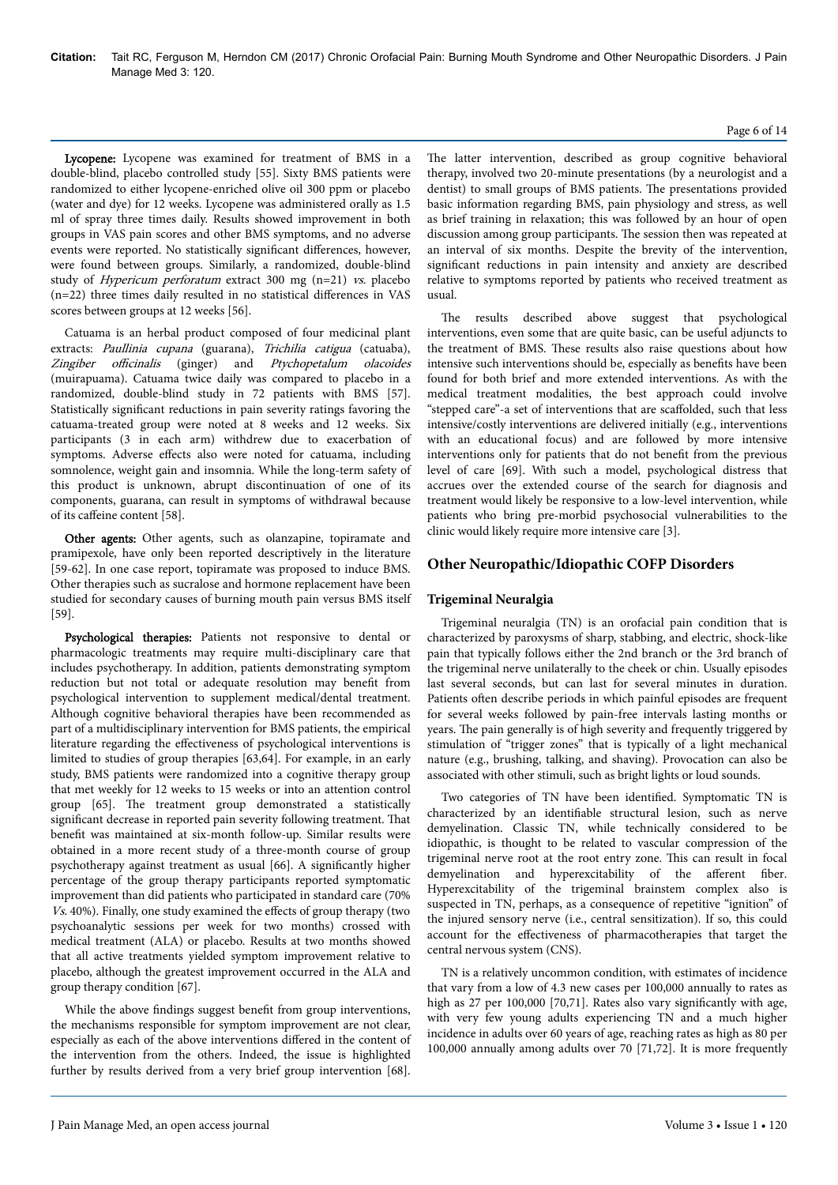#### Page 6 of 14

Lycopene: Lycopene was examined for treatment of BMS in a double-blind, placebo controlled study [55]. Sixty BMS patients were randomized to either lycopene-enriched olive oil 300 ppm or placebo (water and dye) for 12 weeks. Lycopene was administered orally as 1.5 ml of spray three times daily. Results showed improvement in both groups in VAS pain scores and other BMS symptoms, and no adverse events were reported. No statistically significant differences, however, were found between groups. Similarly, a randomized, double-blind study of Hypericum perforatum extract 300 mg (n=21) vs. placebo  $(n=22)$  three times daily resulted in no statistical differences in VAS scores between groups at 12 weeks [56].

Catuama is an herbal product composed of four medicinal plant extracts: Paullinia cupana (guarana), Trichilia catigua (catuaba), Zingiber officinalis (ginger) and Ptychopetalum olacoides (muirapuama). Catuama twice daily was compared to placebo in a randomized, double-blind study in 72 patients with BMS [57]. Statistically significant reductions in pain severity ratings favoring the catuama-treated group were noted at 8 weeks and 12 weeks. Six participants (3 in each arm) withdrew due to exacerbation of symptoms. Adverse effects also were noted for catuama, including somnolence, weight gain and insomnia. While the long-term safety of this product is unknown, abrupt discontinuation of one of its components, guarana, can result in symptoms of withdrawal because of its caffeine content [58].

Other agents: Other agents, such as olanzapine, topiramate and pramipexole, have only been reported descriptively in the literature [59-62]. In one case report, topiramate was proposed to induce BMS. Other therapies such as sucralose and hormone replacement have been studied for secondary causes of burning mouth pain versus BMS itself [59].

Psychological therapies: Patients not responsive to dental or pharmacologic treatments may require multi-disciplinary care that includes psychotherapy. In addition, patients demonstrating symptom reduction but not total or adequate resolution may benefit from psychological intervention to supplement medical/dental treatment. Although cognitive behavioral therapies have been recommended as part of a multidisciplinary intervention for BMS patients, the empirical literature regarding the effectiveness of psychological interventions is limited to studies of group therapies [63,64]. For example, in an early study, BMS patients were randomized into a cognitive therapy group that met weekly for 12 weeks to 15 weeks or into an attention control group [65]. Нe treatment group demonstrated a statistically significant decrease in reported pain severity following treatment. Нat benefit was maintained at six-month follow-up. Similar results were obtained in a more recent study of a three-month course of group psychotherapy against treatment as usual [66]. A significantly higher percentage of the group therapy participants reported symptomatic improvement than did patients who participated in standard care (70%  $Vs. 40\%$ ). Finally, one study examined the effects of group therapy (two psychoanalytic sessions per week for two months) crossed with medical treatment (ALA) or placebo. Results at two months showed that all active treatments yielded symptom improvement relative to placebo, although the greatest improvement occurred in the ALA and group therapy condition [67].

While the above findings suggest benefit from group interventions, the mechanisms responsible for symptom improvement are not clear, especially as each of the above interventions differed in the content of the intervention from the others. Indeed, the issue is highlighted further by results derived from a very brief group intervention [68].

The latter intervention, described as group cognitive behavioral therapy, involved two 20-minute presentations (by a neurologist and a dentist) to small groups of BMS patients. Нe presentations provided basic information regarding BMS, pain physiology and stress, as well as brief training in relaxation; this was followed by an hour of open discussion among group participants. Нe session then was repeated at an interval of six months. Despite the brevity of the intervention, significant reductions in pain intensity and anxiety are described relative to symptoms reported by patients who received treatment as usual.

The results described above suggest that psychological interventions, even some that are quite basic, can be useful adjuncts to the treatment of BMS. Нese results also raise questions about how intensive such interventions should be, especially as benefits have been found for both brief and more extended interventions. As with the medical treatment modalities, the best approach could involve "stepped care"-a set of interventions that are scaffolded, such that less intensive/costly interventions are delivered initially (e.g., interventions with an educational focus) and are followed by more intensive interventions only for patients that do not benefit from the previous level of care [69]. With such a model, psychological distress that accrues over the extended course of the search for diagnosis and treatment would likely be responsive to a low-level intervention, while patients who bring pre-morbid psychosocial vulnerabilities to the clinic would likely require more intensive care [3].

## **Other Neuropathic/Idiopathic COFP Disorders**

## **Trigeminal Neuralgia**

Trigeminal neuralgia (TN) is an orofacial pain condition that is characterized by paroxysms of sharp, stabbing, and electric, shock-like pain that typically follows either the 2nd branch or the 3rd branch of the trigeminal nerve unilaterally to the cheek or chin. Usually episodes last several seconds, but can last for several minutes in duration. Patients often describe periods in which painful episodes are frequent for several weeks followed by pain-free intervals lasting months or years. Нe pain generally is of high severity and frequently triggered by stimulation of "trigger zones" that is typically of a light mechanical nature (e.g., brushing, talking, and shaving). Provocation can also be associated with other stimuli, such as bright lights or loud sounds.

Two categories of TN have been identified. Symptomatic TN is characterized by an identifiable structural lesion, such as nerve demyelination. Classic TN, while technically considered to be idiopathic, is thought to be related to vascular compression of the trigeminal nerve root at the root entry zone. Нis can result in focal demyelination and hyperexcitability of the afferent fiber. Hyperexcitability of the trigeminal brainstem complex also is suspected in TN, perhaps, as a consequence of repetitive "ignition" of the injured sensory nerve (i.e., central sensitization). If so, this could account for the effectiveness of pharmacotherapies that target the central nervous system (CNS).

TN is a relatively uncommon condition, with estimates of incidence that vary from a low of 4.3 new cases per 100,000 annually to rates as high as 27 per 100,000 [70,71]. Rates also vary significantly with age, with very few young adults experiencing TN and a much higher incidence in adults over 60 years of age, reaching rates as high as 80 per 100,000 annually among adults over 70 [71,72]. It is more frequently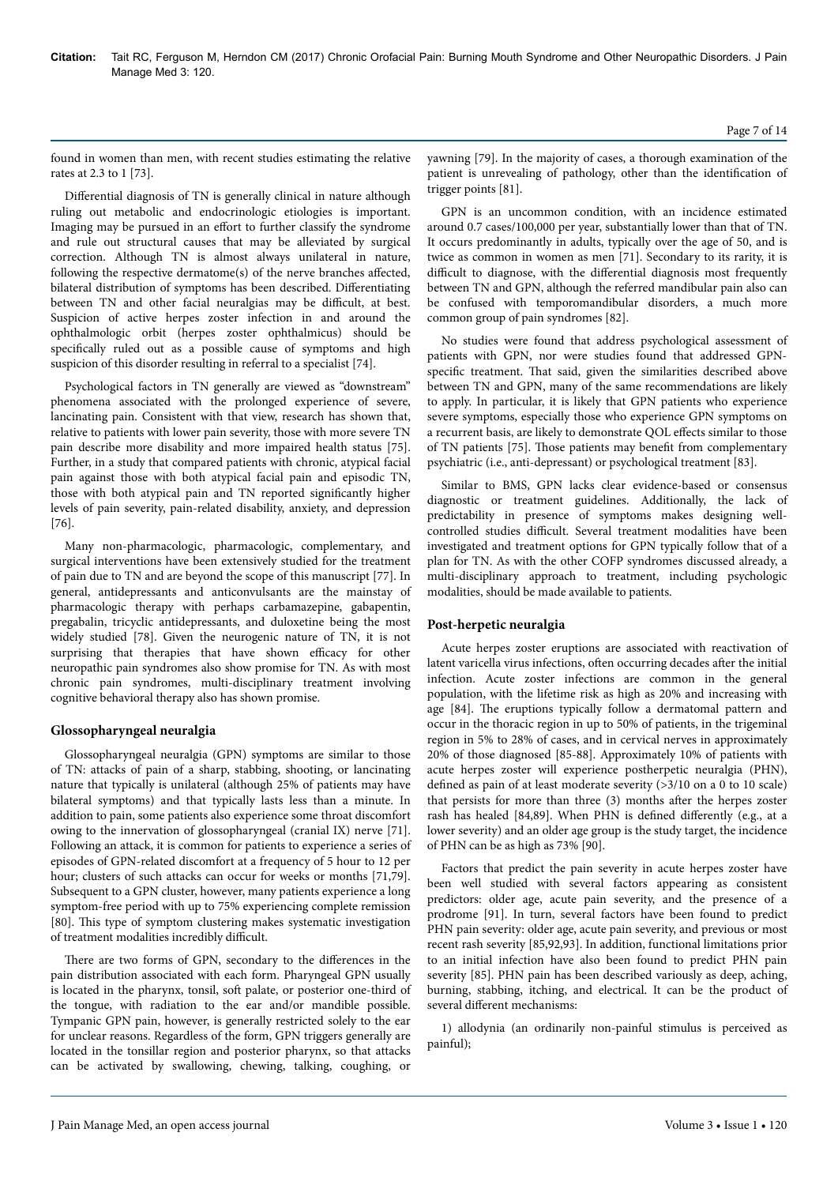found in women than men, with recent studies estimating the relative rates at 2.3 to 1 [73].

Differential diagnosis of TN is generally clinical in nature although ruling out metabolic and endocrinologic etiologies is important. Imaging may be pursued in an effort to further classify the syndrome and rule out structural causes that may be alleviated by surgical correction. Although TN is almost always unilateral in nature, following the respective dermatome(s) of the nerve branches affected, bilateral distribution of symptoms has been described. Differentiating between TN and other facial neuralgias may be difficult, at best. Suspicion of active herpes zoster infection in and around the ophthalmologic orbit (herpes zoster ophthalmicus) should be specifically ruled out as a possible cause of symptoms and high suspicion of this disorder resulting in referral to a specialist [74].

Psychological factors in TN generally are viewed as "downstream" phenomena associated with the prolonged experience of severe, lancinating pain. Consistent with that view, research has shown that, relative to patients with lower pain severity, those with more severe TN pain describe more disability and more impaired health status [75]. Further, in a study that compared patients with chronic, atypical facial pain against those with both atypical facial pain and episodic TN, those with both atypical pain and TN reported significantly higher levels of pain severity, pain-related disability, anxiety, and depression [76].

Many non-pharmacologic, pharmacologic, complementary, and surgical interventions have been extensively studied for the treatment of pain due to TN and are beyond the scope of this manuscript [77]. In general, antidepressants and anticonvulsants are the mainstay of pharmacologic therapy with perhaps carbamazepine, gabapentin, pregabalin, tricyclic antidepressants, and duloxetine being the most widely studied [78]. Given the neurogenic nature of TN, it is not surprising that therapies that have shown efficacy for other neuropathic pain syndromes also show promise for TN. As with most chronic pain syndromes, multi-disciplinary treatment involving cognitive behavioral therapy also has shown promise.

## **Glossopharyngeal neuralgia**

Glossopharyngeal neuralgia (GPN) symptoms are similar to those of TN: attacks of pain of a sharp, stabbing, shooting, or lancinating nature that typically is unilateral (although 25% of patients may have bilateral symptoms) and that typically lasts less than a minute. In addition to pain, some patients also experience some throat discomfort owing to the innervation of glossopharyngeal (cranial IX) nerve [71]. Following an attack, it is common for patients to experience a series of episodes of GPN-related discomfort at a frequency of 5 hour to 12 per hour; clusters of such attacks can occur for weeks or months [71,79]. Subsequent to a GPN cluster, however, many patients experience a long symptom-free period with up to 75% experiencing complete remission [80]. Нis type of symptom clustering makes systematic investigation of treatment modalities incredibly difficult.

There are two forms of GPN, secondary to the differences in the pain distribution associated with each form. Pharyngeal GPN usually is located in the pharynx, tonsil, soft palate, or posterior one-third of the tongue, with radiation to the ear and/or mandible possible. Tympanic GPN pain, however, is generally restricted solely to the ear for unclear reasons. Regardless of the form, GPN triggers generally are located in the tonsillar region and posterior pharynx, so that attacks can be activated by swallowing, chewing, talking, coughing, or

yawning [79]. In the majority of cases, a thorough examination of the patient is unrevealing of pathology, other than the identification of trigger points [81].

GPN is an uncommon condition, with an incidence estimated around 0.7 cases/100,000 per year, substantially lower than that of TN. It occurs predominantly in adults, typically over the age of 50, and is twice as common in women as men [71]. Secondary to its rarity, it is difficult to diagnose, with the differential diagnosis most frequently between TN and GPN, although the referred mandibular pain also can be confused with temporomandibular disorders, a much more common group of pain syndromes [82].

No studies were found that address psychological assessment of patients with GPN, nor were studies found that addressed GPNspecific treatment. Нat said, given the similarities described above between TN and GPN, many of the same recommendations are likely to apply. In particular, it is likely that GPN patients who experience severe symptoms, especially those who experience GPN symptoms on a recurrent basis, are likely to demonstrate QOL effects similar to those of TN patients [75]. Нose patients may benefit from complementary psychiatric (i.e., anti-depressant) or psychological treatment [83].

Similar to BMS, GPN lacks clear evidence-based or consensus diagnostic or treatment guidelines. Additionally, the lack of predictability in presence of symptoms makes designing wellcontrolled studies difficult. Several treatment modalities have been investigated and treatment options for GPN typically follow that of a plan for TN. As with the other COFP syndromes discussed already, a multi-disciplinary approach to treatment, including psychologic modalities, should be made available to patients.

# **Post-herpetic neuralgia**

Acute herpes zoster eruptions are associated with reactivation of latent varicella virus infections, often occurring decades after the initial infection. Acute zoster infections are common in the general population, with the lifetime risk as high as 20% and increasing with age [84]. Нe eruptions typically follow a dermatomal pattern and occur in the thoracic region in up to 50% of patients, in the trigeminal region in 5% to 28% of cases, and in cervical nerves in approximately 20% of those diagnosed [85-88]. Approximately 10% of patients with acute herpes zoster will experience postherpetic neuralgia (PHN), defined as pain of at least moderate severity (>3/10 on a 0 to 10 scale) that persists for more than three (3) months after the herpes zoster rash has healed [84,89]. When PHN is defined differently (e.g., at a lower severity) and an older age group is the study target, the incidence of PHN can be as high as 73% [90].

Factors that predict the pain severity in acute herpes zoster have been well studied with several factors appearing as consistent predictors: older age, acute pain severity, and the presence of a prodrome [91]. In turn, several factors have been found to predict PHN pain severity: older age, acute pain severity, and previous or most recent rash severity [85,92,93]. In addition, functional limitations prior to an initial infection have also been found to predict PHN pain severity [85]. PHN pain has been described variously as deep, aching, burning, stabbing, itching, and electrical. It can be the product of several different mechanisms:

1) allodynia (an ordinarily non-painful stimulus is perceived as painful);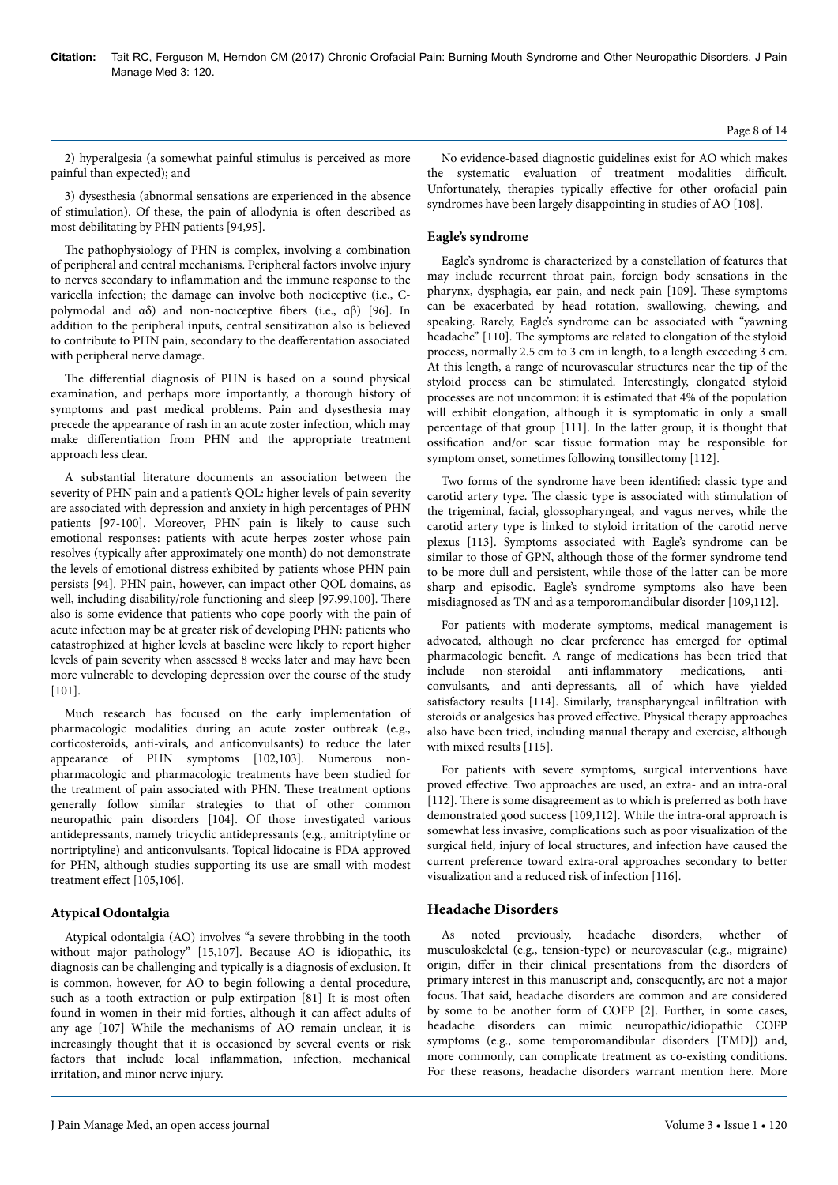Page 8 of 14

2) hyperalgesia (a somewhat painful stimulus is perceived as more painful than expected); and

3) dysesthesia (abnormal sensations are experienced in the absence of stimulation). Of these, the pain of allodynia is often described as most debilitating by PHN patients [94,95].

The pathophysiology of PHN is complex, involving a combination of peripheral and central mechanisms. Peripheral factors involve injury to nerves secondary to inflammation and the immune response to the varicella infection; the damage can involve both nociceptive (i.e., Cpolymodal and αδ) and non-nociceptive fibers (i.e., αβ) [96]. In addition to the peripheral inputs, central sensitization also is believed to contribute to PHN pain, secondary to the deafferentation associated with peripheral nerve damage.

The differential diagnosis of PHN is based on a sound physical examination, and perhaps more importantly, a thorough history of symptoms and past medical problems. Pain and dysesthesia may precede the appearance of rash in an acute zoster infection, which may make differentiation from PHN and the appropriate treatment approach less clear.

A substantial literature documents an association between the severity of PHN pain and a patient's QOL: higher levels of pain severity are associated with depression and anxiety in high percentages of PHN patients [97-100]. Moreover, PHN pain is likely to cause such emotional responses: patients with acute herpes zoster whose pain resolves (typically after approximately one month) do not demonstrate the levels of emotional distress exhibited by patients whose PHN pain persists [94]. PHN pain, however, can impact other QOL domains, as well, including disability/role functioning and sleep [97,99,100]. Нere also is some evidence that patients who cope poorly with the pain of acute infection may be at greater risk of developing PHN: patients who catastrophized at higher levels at baseline were likely to report higher levels of pain severity when assessed 8 weeks later and may have been more vulnerable to developing depression over the course of the study [101].

Much research has focused on the early implementation of pharmacologic modalities during an acute zoster outbreak (e.g., corticosteroids, anti-virals, and anticonvulsants) to reduce the later appearance of PHN symptoms [102,103]. Numerous nonpharmacologic and pharmacologic treatments have been studied for the treatment of pain associated with PHN. Нese treatment options generally follow similar strategies to that of other common neuropathic pain disorders [104]. Of those investigated various antidepressants, namely tricyclic antidepressants (e.g., amitriptyline or nortriptyline) and anticonvulsants. Topical lidocaine is FDA approved for PHN, although studies supporting its use are small with modest treatment effect [105,106].

# **Atypical Odontalgia**

Atypical odontalgia (AO) involves "a severe throbbing in the tooth without major pathology" [15,107]. Because AO is idiopathic, its diagnosis can be challenging and typically is a diagnosis of exclusion. It is common, however, for AO to begin following a dental procedure, such as a tooth extraction or pulp extirpation [81] It is most often found in women in their mid-forties, although it can affect adults of any age [107] While the mechanisms of AO remain unclear, it is increasingly thought that it is occasioned by several events or risk factors that include local inflammation, infection, mechanical irritation, and minor nerve injury.

No evidence-based diagnostic guidelines exist for AO which makes the systematic evaluation of treatment modalities difficult. Unfortunately, therapies typically effective for other orofacial pain syndromes have been largely disappointing in studies of AO [108].

# **Eagle's syndrome**

Eagle's syndrome is characterized by a constellation of features that may include recurrent throat pain, foreign body sensations in the pharynx, dysphagia, ear pain, and neck pain [109]. Нese symptoms can be exacerbated by head rotation, swallowing, chewing, and speaking. Rarely, Eagle's syndrome can be associated with "yawning headache" [110]. The symptoms are related to elongation of the styloid process, normally 2.5 cm to 3 cm in length, to a length exceeding 3 cm. At this length, a range of neurovascular structures near the tip of the styloid process can be stimulated. Interestingly, elongated styloid processes are not uncommon: it is estimated that 4% of the population will exhibit elongation, although it is symptomatic in only a small percentage of that group [111]. In the latter group, it is thought that ossification and/or scar tissue formation may be responsible for symptom onset, sometimes following tonsillectomy [112].

Two forms of the syndrome have been identified: classic type and carotid artery type. Нe classic type is associated with stimulation of the trigeminal, facial, glossopharyngeal, and vagus nerves, while the carotid artery type is linked to styloid irritation of the carotid nerve plexus [113]. Symptoms associated with Eagle's syndrome can be similar to those of GPN, although those of the former syndrome tend to be more dull and persistent, while those of the latter can be more sharp and episodic. Eagle's syndrome symptoms also have been misdiagnosed as TN and as a temporomandibular disorder [109,112].

For patients with moderate symptoms, medical management is advocated, although no clear preference has emerged for optimal pharmacologic benefit. A range of medications has been tried that include non-steroidal anti-inflammatory medications, anticonvulsants, and anti-depressants, all of which have yielded satisfactory results [114]. Similarly, transpharyngeal infiltration with steroids or analgesics has proved effective. Physical therapy approaches also have been tried, including manual therapy and exercise, although with mixed results [115].

For patients with severe symptoms, surgical interventions have proved effective. Two approaches are used, an extra- and an intra-oral [112]. There is some disagreement as to which is preferred as both have demonstrated good success [109,112]. While the intra-oral approach is somewhat less invasive, complications such as poor visualization of the surgical field, injury of local structures, and infection have caused the current preference toward extra-oral approaches secondary to better visualization and a reduced risk of infection [116].

# **Headache Disorders**

As noted previously, headache disorders, whether of musculoskeletal (e.g., tension-type) or neurovascular (e.g., migraine) origin, differ in their clinical presentations from the disorders of primary interest in this manuscript and, consequently, are not a major focus. Нat said, headache disorders are common and are considered by some to be another form of COFP [2]. Further, in some cases, headache disorders can mimic neuropathic/idiopathic COFP symptoms (e.g., some temporomandibular disorders [TMD]) and, more commonly, can complicate treatment as co-existing conditions. For these reasons, headache disorders warrant mention here. More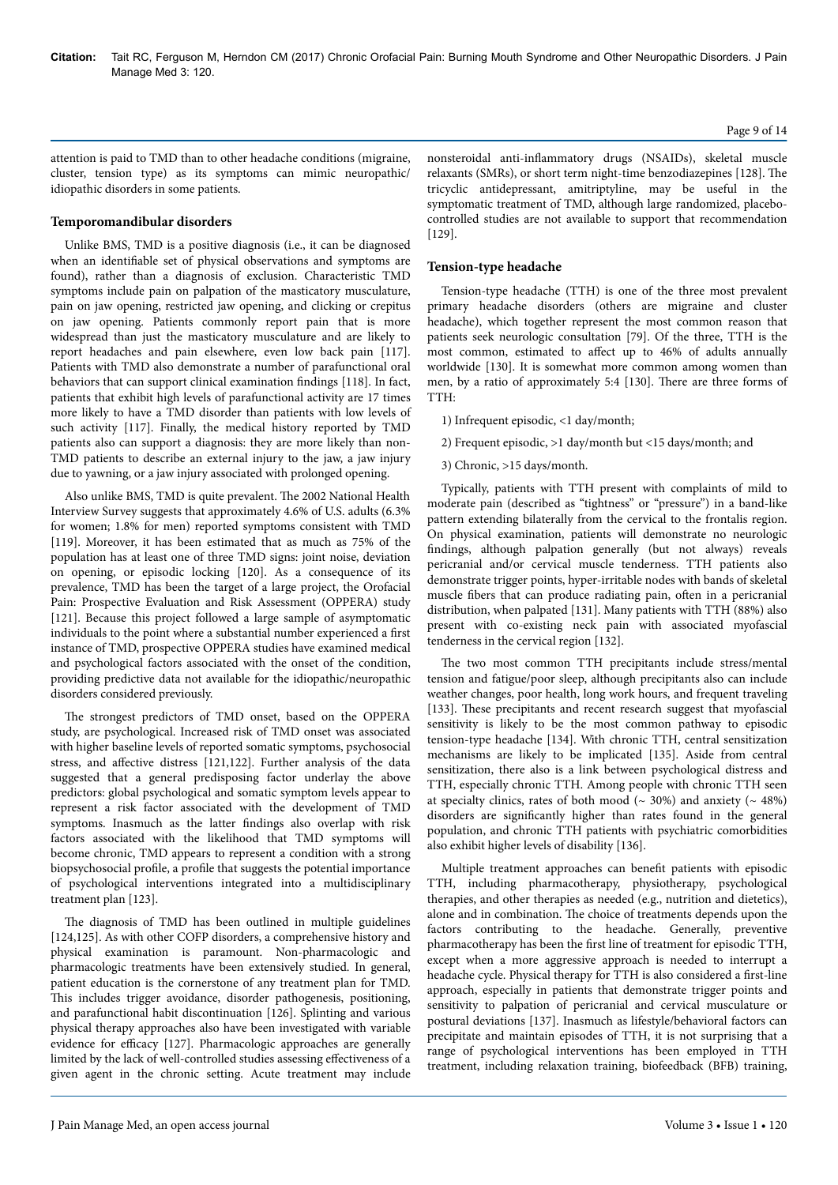attention is paid to TMD than to other headache conditions (migraine, cluster, tension type) as its symptoms can mimic neuropathic/ idiopathic disorders in some patients.

#### **Temporomandibular disorders**

Unlike BMS, TMD is a positive diagnosis (i.e., it can be diagnosed when an identifiable set of physical observations and symptoms are found), rather than a diagnosis of exclusion. Characteristic TMD symptoms include pain on palpation of the masticatory musculature, pain on jaw opening, restricted jaw opening, and clicking or crepitus on jaw opening. Patients commonly report pain that is more widespread than just the masticatory musculature and are likely to report headaches and pain elsewhere, even low back pain [117]. Patients with TMD also demonstrate a number of parafunctional oral behaviors that can support clinical examination findings [118]. In fact, patients that exhibit high levels of parafunctional activity are 17 times more likely to have a TMD disorder than patients with low levels of such activity [117]. Finally, the medical history reported by TMD patients also can support a diagnosis: they are more likely than non-TMD patients to describe an external injury to the jaw, a jaw injury due to yawning, or a jaw injury associated with prolonged opening.

Also unlike BMS, TMD is quite prevalent. Нe 2002 National Health Interview Survey suggests that approximately 4.6% of U.S. adults (6.3% for women; 1.8% for men) reported symptoms consistent with TMD [119]. Moreover, it has been estimated that as much as 75% of the population has at least one of three TMD signs: joint noise, deviation on opening, or episodic locking [120]. As a consequence of its prevalence, TMD has been the target of a large project, the Orofacial Pain: Prospective Evaluation and Risk Assessment (OPPERA) study [121]. Because this project followed a large sample of asymptomatic individuals to the point where a substantial number experienced a first instance of TMD, prospective OPPERA studies have examined medical and psychological factors associated with the onset of the condition, providing predictive data not available for the idiopathic/neuropathic disorders considered previously.

The strongest predictors of TMD onset, based on the OPPERA study, are psychological. Increased risk of TMD onset was associated with higher baseline levels of reported somatic symptoms, psychosocial stress, and affective distress [121,122]. Further analysis of the data suggested that a general predisposing factor underlay the above predictors: global psychological and somatic symptom levels appear to represent a risk factor associated with the development of TMD symptoms. Inasmuch as the latter findings also overlap with risk factors associated with the likelihood that TMD symptoms will become chronic, TMD appears to represent a condition with a strong biopsychosocial profile, a profile that suggests the potential importance of psychological interventions integrated into a multidisciplinary treatment plan [123].

The diagnosis of TMD has been outlined in multiple guidelines [124,125]. As with other COFP disorders, a comprehensive history and physical examination is paramount. Non-pharmacologic and pharmacologic treatments have been extensively studied. In general, patient education is the cornerstone of any treatment plan for TMD. This includes trigger avoidance, disorder pathogenesis, positioning, and parafunctional habit discontinuation [126]. Splinting and various physical therapy approaches also have been investigated with variable evidence for efficacy  $[127]$ . Pharmacologic approaches are generally limited by the lack of well-controlled studies assessing effectiveness of a given agent in the chronic setting. Acute treatment may include

nonsteroidal anti-inflammatory drugs (NSAIDs), skeletal muscle relaxants (SMRs), or short term night-time benzodiazepines [128]. Нe tricyclic antidepressant, amitriptyline, may be useful in the symptomatic treatment of TMD, although large randomized, placebocontrolled studies are not available to support that recommendation [129].

#### **Tension-type headache**

Tension-type headache (TTH) is one of the three most prevalent primary headache disorders (others are migraine and cluster headache), which together represent the most common reason that patients seek neurologic consultation [79]. Of the three, TTH is the most common, estimated to affect up to 46% of adults annually worldwide [130]. It is somewhat more common among women than men, by a ratio of approximately 5:4 [130]. Нere are three forms of TTH:

- 1) Infrequent episodic, <1 day/month;
- 2) Frequent episodic, >1 day/month but <15 days/month; and
- 3) Chronic, >15 days/month.

Typically, patients with TTH present with complaints of mild to moderate pain (described as "tightness" or "pressure") in a band-like pattern extending bilaterally from the cervical to the frontalis region. On physical examination, patients will demonstrate no neurologic findings, although palpation generally (but not always) reveals pericranial and/or cervical muscle tenderness. TTH patients also demonstrate trigger points, hyper-irritable nodes with bands of skeletal muscle fibers that can produce radiating pain, often in a pericranial distribution, when palpated [131]. Many patients with TTH (88%) also present with co-existing neck pain with associated myofascial tenderness in the cervical region [132].

The two most common TTH precipitants include stress/mental tension and fatigue/poor sleep, although precipitants also can include weather changes, poor health, long work hours, and frequent traveling [133]. These precipitants and recent research suggest that myofascial sensitivity is likely to be the most common pathway to episodic tension-type headache [134]. With chronic TTH, central sensitization mechanisms are likely to be implicated [135]. Aside from central sensitization, there also is a link between psychological distress and TTH, especially chronic TTH. Among people with chronic TTH seen at specialty clinics, rates of both mood ( $\sim$  30%) and anxiety ( $\sim$  48%) disorders are significantly higher than rates found in the general population, and chronic TTH patients with psychiatric comorbidities also exhibit higher levels of disability [136].

Multiple treatment approaches can benefit patients with episodic TTH, including pharmacotherapy, physiotherapy, psychological therapies, and other therapies as needed (e.g., nutrition and dietetics), alone and in combination. Нe choice of treatments depends upon the factors contributing to the headache. Generally, preventive pharmacotherapy has been the first line of treatment for episodic TTH, except when a more aggressive approach is needed to interrupt a headache cycle. Physical therapy for TTH is also considered a first-line approach, especially in patients that demonstrate trigger points and sensitivity to palpation of pericranial and cervical musculature or postural deviations [137]. Inasmuch as lifestyle/behavioral factors can precipitate and maintain episodes of TTH, it is not surprising that a range of psychological interventions has been employed in TTH treatment, including relaxation training, biofeedback (BFB) training,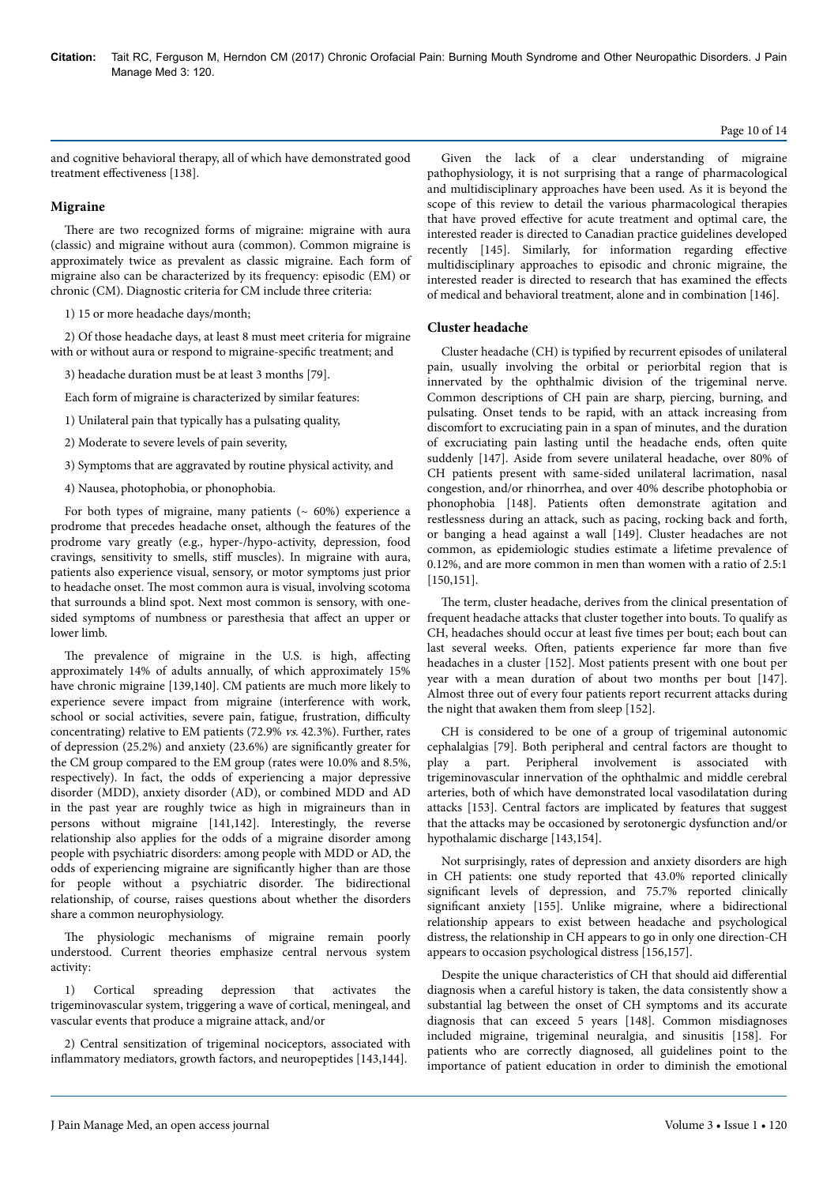## Page 10 of 14

and cognitive behavioral therapy, all of which have demonstrated good treatment effectiveness [138].

# **Migraine**

There are two recognized forms of migraine: migraine with aura (classic) and migraine without aura (common). Common migraine is approximately twice as prevalent as classic migraine. Each form of migraine also can be characterized by its frequency: episodic (EM) or chronic (CM). Diagnostic criteria for CM include three criteria:

1) 15 or more headache days/month;

2) Of those headache days, at least 8 must meet criteria for migraine with or without aura or respond to migraine-specific treatment; and

3) headache duration must be at least 3 months [79].

Each form of migraine is characterized by similar features:

1) Unilateral pain that typically has a pulsating quality,

2) Moderate to severe levels of pain severity,

3) Symptoms that are aggravated by routine physical activity, and

4) Nausea, photophobia, or phonophobia.

For both types of migraine, many patients  $($   $\sim$  60%) experience a prodrome that precedes headache onset, although the features of the prodrome vary greatly (e.g., hyper-/hypo-activity, depression, food cravings, sensitivity to smells, stiff muscles). In migraine with aura, patients also experience visual, sensory, or motor symptoms just prior to headache onset. Нe most common aura is visual, involving scotoma that surrounds a blind spot. Next most common is sensory, with onesided symptoms of numbness or paresthesia that affect an upper or lower limb.

The prevalence of migraine in the U.S. is high, affecting approximately 14% of adults annually, of which approximately 15% have chronic migraine [139,140]. CM patients are much more likely to experience severe impact from migraine (interference with work, school or social activities, severe pain, fatigue, frustration, difficulty concentrating) relative to EM patients (72.9% vs. 42.3%). Further, rates of depression  $(25.2%)$  and anxiety  $(23.6%)$  are significantly greater for the CM group compared to the EM group (rates were 10.0% and 8.5%, respectively). In fact, the odds of experiencing a major depressive disorder (MDD), anxiety disorder (AD), or combined MDD and AD in the past year are roughly twice as high in migraineurs than in persons without migraine [141,142]. Interestingly, the reverse relationship also applies for the odds of a migraine disorder among people with psychiatric disorders: among people with MDD or AD, the odds of experiencing migraine are significantly higher than are those for people without a psychiatric disorder. Нe bidirectional relationship, of course, raises questions about whether the disorders share a common neurophysiology.

The physiologic mechanisms of migraine remain poorly understood. Current theories emphasize central nervous system activity:

1) Cortical spreading depression that activates the trigeminovascular system, triggering a wave of cortical, meningeal, and vascular events that produce a migraine attack, and/or

2) Central sensitization of trigeminal nociceptors, associated with inflammatory mediators, growth factors, and neuropeptides [143,144].

Given the lack of a clear understanding of migraine pathophysiology, it is not surprising that a range of pharmacological and multidisciplinary approaches have been used. As it is beyond the scope of this review to detail the various pharmacological therapies that have proved effective for acute treatment and optimal care, the interested reader is directed to Canadian practice guidelines developed recently [145]. Similarly, for information regarding effective multidisciplinary approaches to episodic and chronic migraine, the interested reader is directed to research that has examined the effects of medical and behavioral treatment, alone and in combination [146].

## **Cluster headache**

Cluster headache (CH) is typified by recurrent episodes of unilateral pain, usually involving the orbital or periorbital region that is innervated by the ophthalmic division of the trigeminal nerve. Common descriptions of CH pain are sharp, piercing, burning, and pulsating. Onset tends to be rapid, with an attack increasing from discomfort to excruciating pain in a span of minutes, and the duration of excruciating pain lasting until the headache ends, often quite suddenly [147]. Aside from severe unilateral headache, over 80% of CH patients present with same-sided unilateral lacrimation, nasal congestion, and/or rhinorrhea, and over 40% describe photophobia or phonophobia [148]. Patients often demonstrate agitation and restlessness during an attack, such as pacing, rocking back and forth, or banging a head against a wall [149]. Cluster headaches are not common, as epidemiologic studies estimate a lifetime prevalence of 0.12%, and are more common in men than women with a ratio of 2.5:1 [150,151].

The term, cluster headache, derives from the clinical presentation of frequent headache attacks that cluster together into bouts. To qualify as CH, headaches should occur at least five times per bout; each bout can last several weeks. Often, patients experience far more than five headaches in a cluster [152]. Most patients present with one bout per year with a mean duration of about two months per bout [147]. Almost three out of every four patients report recurrent attacks during the night that awaken them from sleep [152].

CH is considered to be one of a group of trigeminal autonomic cephalalgias [79]. Both peripheral and central factors are thought to play a part. Peripheral involvement is associated with trigeminovascular innervation of the ophthalmic and middle cerebral arteries, both of which have demonstrated local vasodilatation during attacks [153]. Central factors are implicated by features that suggest that the attacks may be occasioned by serotonergic dysfunction and/or hypothalamic discharge [143,154].

Not surprisingly, rates of depression and anxiety disorders are high in CH patients: one study reported that 43.0% reported clinically significant levels of depression, and 75.7% reported clinically significant anxiety [155]. Unlike migraine, where a bidirectional relationship appears to exist between headache and psychological distress, the relationship in CH appears to go in only one direction-CH appears to occasion psychological distress [156,157].

Despite the unique characteristics of CH that should aid differential diagnosis when a careful history is taken, the data consistently show a substantial lag between the onset of CH symptoms and its accurate diagnosis that can exceed 5 years [148]. Common misdiagnoses included migraine, trigeminal neuralgia, and sinusitis [158]. For patients who are correctly diagnosed, all guidelines point to the importance of patient education in order to diminish the emotional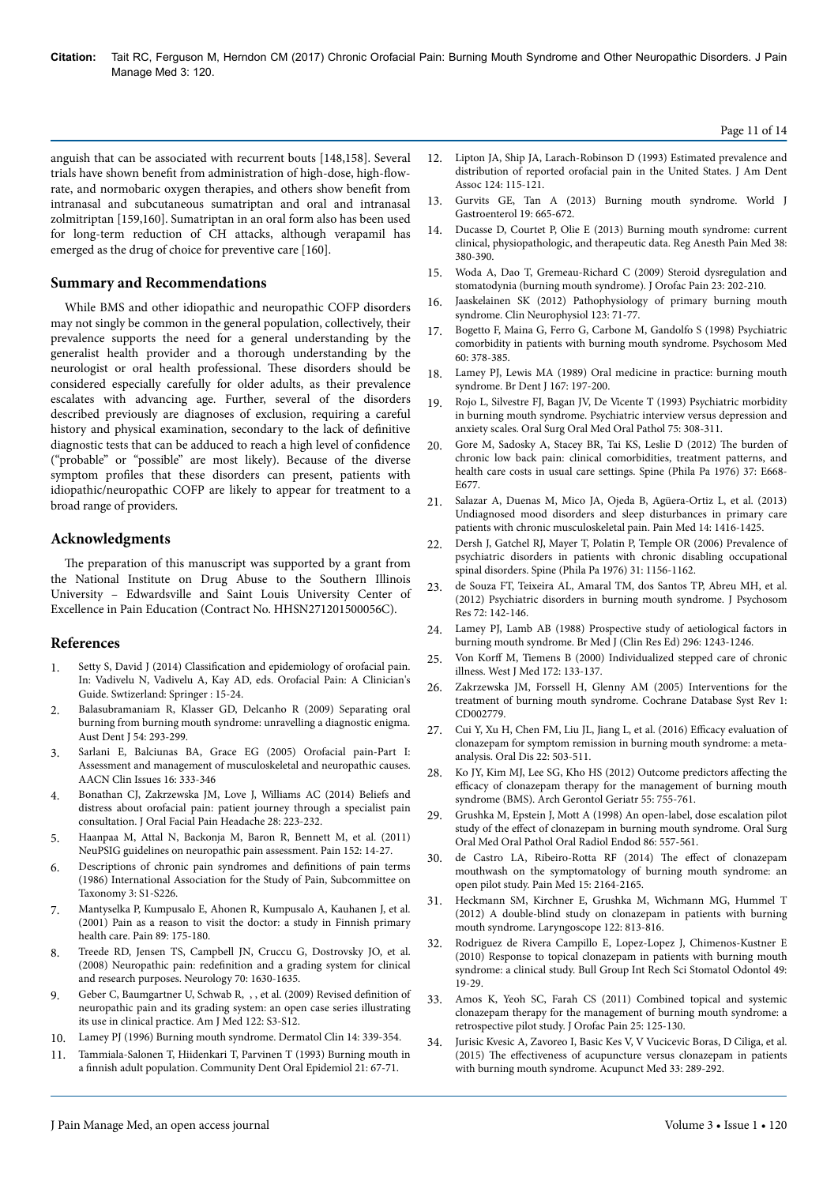anguish that can be associated with recurrent bouts [148,158]. Several trials have shown benefit from administration of high-dose, high-flowrate, and normobaric oxygen therapies, and others show benefit from intranasal and subcutaneous sumatriptan and oral and intranasal zolmitriptan [159,160]. Sumatriptan in an oral form also has been used for long-term reduction of CH attacks, although verapamil has emerged as the drug of choice for preventive care [160].

## **Summary and Recommendations**

While BMS and other idiopathic and neuropathic COFP disorders may not singly be common in the general population, collectively, their prevalence supports the need for a general understanding by the generalist health provider and a thorough understanding by the neurologist or oral health professional. Нese disorders should be considered especially carefully for older adults, as their prevalence escalates with advancing age. Further, several of the disorders described previously are diagnoses of exclusion, requiring a careful history and physical examination, secondary to the lack of definitive diagnostic tests that can be adduced to reach a high level of confidence ("probable" or "possible" are most likely). Because of the diverse symptom profiles that these disorders can present, patients with idiopathic/neuropathic COFP are likely to appear for treatment to a broad range of providers.

#### **Acknowledgments**

The preparation of this manuscript was supported by a grant from the National Institute on Drug Abuse to the Southern Illinois University – Edwardsville and Saint Louis University Center of Excellence in Pain Education (Contract No. HHSN271201500056C).

#### **References**

- 1. Setty S, David J (2014) Classification and epidemiology of orofacial pain. In: Vadivelu N, Vadivelu A, Kay AD, eds. Orofacial Pain: A Clinician's Guide. Swtizerland: Springer : 15-24.
- 2. [Balasubramaniam R, Klasser GD, Delcanho R \(2009\) Separating oral](https://dx.doi.org/10.1111/j.1834-7819.2009.01153.x) [burning from burning mouth syndrome: unravelling a diagnostic enigma.](https://dx.doi.org/10.1111/j.1834-7819.2009.01153.x) [Aust Dent J 54: 293-299.](https://dx.doi.org/10.1111/j.1834-7819.2009.01153.x)
- 3. Sarlani E, Balciunas BA, Grace EG (2005) Orofacial pain-Part I: Assessment and management of musculoskeletal and neuropathic causes. AACN Clin Issues 16: 333-346
- 4. Bonathan CJ, Zakrzewska JM, Love J, Williams AC (2014) Beliefs and distress about orofacial pain: patient journey through a specialist pain consultation. J Oral Facial Pain Headache 28: 223-232.
- 5. [Haanpaa M, Attal N, Backonja M, Baron R, Bennett M, et al. \(2011\)](http://dx.doi.org/10.1016/j.pain.2010.07.031) [NeuPSIG guidelines on neuropathic pain assessment. Pain 152: 14-27.](http://dx.doi.org/10.1016/j.pain.2010.07.031)
- 6. [Descriptions of chronic pain syndromes and](http://www.iasp-pain.org/files/Content/ContentFolders/Publications2/FreeBooks/Classification-of-Chronic-Pain.pdf) definitions of pain terms [\(1986\) International Association for the Study of Pain, Subcommittee on](http://www.iasp-pain.org/files/Content/ContentFolders/Publications2/FreeBooks/Classification-of-Chronic-Pain.pdf) [Taxonomy 3: S1-S226.](http://www.iasp-pain.org/files/Content/ContentFolders/Publications2/FreeBooks/Classification-of-Chronic-Pain.pdf)
- 7. Mantyselka P, Kumpusalo E, Ahonen R, Kumpusalo A, Kauhanen J, et al. (2001) Pain as a reason to visit the doctor: a study in Finnish primary health care. Pain 89: 175-180.
- 8. [Treede RD, Jensen TS, Campbell JN, Cruccu G, Dostrovsky JO, et al.](https://dx.doi.org/10.1212/01.wnl.0000282763.29778.59) (2008) Neuropathic pain: redefinition [and a grading system for clinical](https://dx.doi.org/10.1212/01.wnl.0000282763.29778.59) [and research purposes. Neurology 70: 1630-1635.](https://dx.doi.org/10.1212/01.wnl.0000282763.29778.59)
- 9. [Geber C, Baumgartner U, Schwab R, , , et al. \(2009\) Revised](https://dx.doi.org/10.1016/j.amjmed.2009.04.005) definition of [neuropathic pain and its grading system: an open case series illustrating](https://dx.doi.org/10.1016/j.amjmed.2009.04.005) [its use in clinical practice. Am J Med 122: S3-S12.](https://dx.doi.org/10.1016/j.amjmed.2009.04.005)
- Lamey PJ (1996) Burning mouth syndrome. Dermatol Clin 14: 339-354.
- 11. [Tammiala-Salonen T, Hiidenkari T, Parvinen T \(1993\) Burning mouth in](https://dx.doi.org/10.1111/j.1600-0528.1993.tb00723.x) a finnish [adult population. Community Dent Oral Epidemiol 21: 67-71.](https://dx.doi.org/10.1111/j.1600-0528.1993.tb00723.x)
- 12. Lipton JA, Ship JA, Larach-Robinson D (1993) Estimated prevalence and distribution of reported orofacial pain in the United States. J Am Dent Assoc 124: 115-121.
- 13. [Gurvits GE, Tan A \(2013\) Burning mouth syndrome. World J](https://dx.doi.org/10.3748/WJG.v19.i5.665) [Gastroenterol 19: 665-672.](https://dx.doi.org/10.3748/WJG.v19.i5.665)
- 14. [Ducasse D, Courtet P, Olie E \(2013\) Burning mouth syndrome: current](https://dx.doi.org/10.1097/AAP.0b013e3182a1f0db) [clinical, physiopathologic, and therapeutic data. Reg Anesth Pain Med 38:](https://dx.doi.org/10.1097/AAP.0b013e3182a1f0db) [380-390.](https://dx.doi.org/10.1097/AAP.0b013e3182a1f0db)
- 15. Woda A, Dao T, Gremeau-Richard C (2009) Steroid dysregulation and stomatodynia (burning mouth syndrome). J Orofac Pain 23: 202-210.
- 16. [Jaaskelainen SK \(2012\) Pathophysiology of primary burning mouth](https://dx.doi.org/10.1016/j.clinph.2011.07.054) [syndrome. Clin Neurophysiol 123: 71-77.](https://dx.doi.org/10.1016/j.clinph.2011.07.054)
- 17. Bogetto F, Maina G, Ferro G, Carbone M, Gandolfo S (1998) Psychiatric comorbidity in patients with burning mouth syndrome. Psychosom Med 60: 378-385.
- 18. Lamey PJ, Lewis MA (1989) Oral medicine in practice: burning mouth syndrome. Br Dent J 167: 197-200.
- 19. Rojo L, Silvestre FJ, Bagan JV, De Vicente T (1993) Psychiatric morbidity in burning mouth syndrome. Psychiatric interview versus depression and anxiety scales. Oral Surg Oral Med Oral Pathol 75: 308-311.
- 20. [Gore M, Sadosky A, Stacey BR, Tai KS, Leslie D \(2012\)](https://dx.doi.org/10.1097/BRS.0b013e318241e5de) Нe burden of [chronic low back pain: clinical comorbidities, treatment patterns, and](https://dx.doi.org/10.1097/BRS.0b013e318241e5de) [health care costs in usual care settings. Spine \(Phila Pa 1976\) 37: E668-](https://dx.doi.org/10.1097/BRS.0b013e318241e5de) [E677.](https://dx.doi.org/10.1097/BRS.0b013e318241e5de)
- 21. [Salazar A, Duenas M, Mico JA, Ojeda B, Agüera-Ortiz L, et al. \(2013\)](http://dx.doi.org/10.1111/pme.12165) [Undiagnosed mood disorders and sleep disturbances in primary care](http://dx.doi.org/10.1111/pme.12165) [patients with chronic musculoskeletal pain. Pain Med 14: 1416-1425.](http://dx.doi.org/10.1111/pme.12165)
- 22. [Dersh J, Gatchel RJ, Mayer T, Polatin P, Temple OR \(2006\) Prevalence of](https://dx.doi.org/10.1097/01.brs.0000216441.83135.6f) [psychiatric disorders in patients with chronic disabling occupational](https://dx.doi.org/10.1097/01.brs.0000216441.83135.6f) [spinal disorders. Spine \(Phila Pa 1976\) 31: 1156-1162.](https://dx.doi.org/10.1097/01.brs.0000216441.83135.6f)
- 23. [de Souza FT, Teixeira AL, Amaral TM, dos Santos TP, Abreu MH, et al.](https://dx.doi.org/10.1016/j.jpsychores.2011.11.008) [\(2012\) Psychiatric disorders in burning mouth syndrome. J Psychosom](https://dx.doi.org/10.1016/j.jpsychores.2011.11.008) [Res 72: 142-146.](https://dx.doi.org/10.1016/j.jpsychores.2011.11.008)
- 24. Lamey PJ, Lamb AB (1988) Prospective study of aetiological factors in burning mouth syndrome. Br Med J (Clin Res Ed) 296: 1243-1246.
- 25. Von Korff M, Tiemens B (2000) Individualized stepped care of chronic illness. West J Med 172: 133-137.
- 26. [Zakrzewska JM, Forssell H, Glenny AM \(2005\) Interventions for the](https://dx.doi.org/10.1002/14651858.CD002779.pub2) [treatment of burning mouth syndrome. Cochrane Database Syst Rev 1:](https://dx.doi.org/10.1002/14651858.CD002779.pub2) [CD002779.](https://dx.doi.org/10.1002/14651858.CD002779.pub2)
- [Cui Y, Xu H, Chen FM, Liu JL, Jiang L, et al. \(2016\)](https://dx.doi.org/10.1111/odi.12422) Efficacy evaluation of [clonazepam for symptom remission in burning mouth syndrome: a meta](https://dx.doi.org/10.1111/odi.12422)[analysis. Oral Dis 22: 503-511.](https://dx.doi.org/10.1111/odi.12422)
- 28. [Ko JY, Kim MJ, Lee SG, Kho HS \(2012\) Outcome predictors](https://dx.doi.org/10.1016/j.archger.2011.10.001) affecting the efficacy [of clonazepam therapy for the management of burning mouth](https://dx.doi.org/10.1016/j.archger.2011.10.001) [syndrome \(BMS\). Arch Gerontol Geriatr 55: 755-761.](https://dx.doi.org/10.1016/j.archger.2011.10.001)
- 29. Grushka M, Epstein J, Mott A (1998) An open-label, dose escalation pilot study of the effect of clonazepam in burning mouth syndrome. Oral Surg Oral Med Oral Pathol Oral Radiol Endod 86: 557-561.
- 30. [de Castro LA, Ribeiro-Rotta RF \(2014\)](http://dx.doi.org/10.1111/pme.12552) The effect of clonazepam [mouthwash on the symptomatology of burning mouth syndrome: an](http://dx.doi.org/10.1111/pme.12552) [open pilot study. Pain Med 15: 2164-2165.](http://dx.doi.org/10.1111/pme.12552)
- 31. [Heckmann SM, Kirchner E, Grushka M, Wichmann MG, Hummel T](https://dx.doi.org/10.1002/lary.22490) [\(2012\) A double-blind study on clonazepam in patients with burning](https://dx.doi.org/10.1002/lary.22490) [mouth syndrome. Laryngoscope 122: 813-816.](https://dx.doi.org/10.1002/lary.22490)
- 32. Rodriguez de Rivera Campillo E, Lopez-Lopez J, Chimenos-Kustner E (2010) Response to topical clonazepam in patients with burning mouth syndrome: a clinical study. Bull Group Int Rech Sci Stomatol Odontol 49: 19-29.
- 33. Amos K, Yeoh SC, Farah CS (2011) Combined topical and systemic clonazepam therapy for the management of burning mouth syndrome: a retrospective pilot study. J Orofac Pain 25: 125-130.
- 34. [Jurisic Kvesic A, Zavoreo I, Basic Kes V, V Vucicevic Boras, D Ciliga, et al.](https://dx.doi.org/10.1136/acupmed-2015-010759) (2015) The effectiveness [of acupuncture versus clonazepam in patients](https://dx.doi.org/10.1136/acupmed-2015-010759) [with burning mouth syndrome. Acupunct Med 33: 289-292.](https://dx.doi.org/10.1136/acupmed-2015-010759)

Page 11 of 14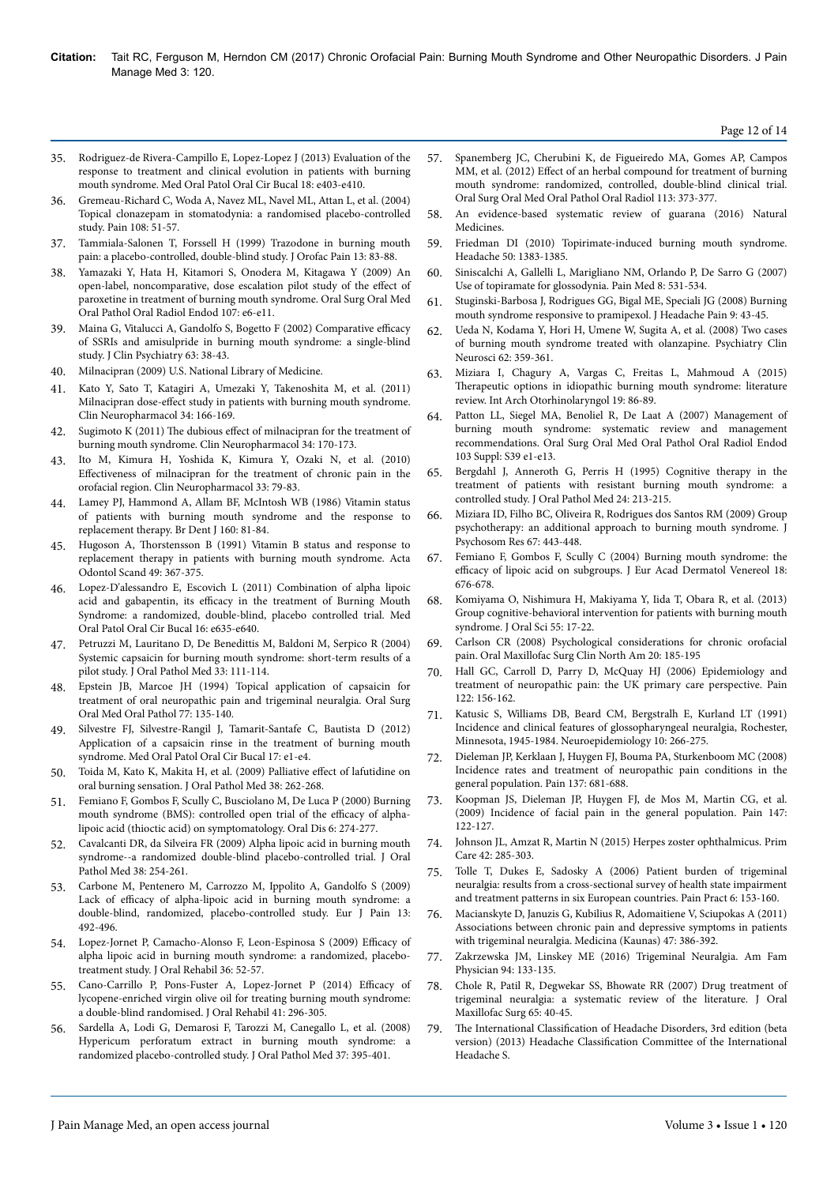- 35. [Rodriguez-de Rivera-Campillo E, Lopez-Lopez J \(2013\) Evaluation of the](http://dx.doi.org/doi:10.4317/medoral.18142) [response to treatment and clinical evolution in patients with burning](http://dx.doi.org/doi:10.4317/medoral.18142) [mouth syndrome. Med Oral Patol Oral Cir Bucal 18: e403-e410.](http://dx.doi.org/doi:10.4317/medoral.18142)
- 36. [Gremeau-Richard C, Woda A, Navez ML, Navel ML, Attan L, et al. \(2004\)](https://dx.doi.org/10.1016/j.pain.2003.12.002) [Topical clonazepam in stomatodynia: a randomised placebo-controlled](https://dx.doi.org/10.1016/j.pain.2003.12.002) [study. Pain 108: 51-57.](https://dx.doi.org/10.1016/j.pain.2003.12.002)
- 37. Tammiala-Salonen T, Forssell H (1999) Trazodone in burning mouth pain: a placebo-controlled, double-blind study. J Orofac Pain 13: 83-88.
- 38. [Yamazaki Y, Hata H, Kitamori S, Onodera M, Kitagawa Y \(2009\) An](https://dx.doi.org/10.1016/j.tripleo.2008.08.024) [open-label, noncomparative, dose escalation pilot study of the](https://dx.doi.org/10.1016/j.tripleo.2008.08.024) effect of [paroxetine in treatment of burning mouth syndrome. Oral Surg Oral Med](https://dx.doi.org/10.1016/j.tripleo.2008.08.024) [Oral Pathol Oral Radiol Endod 107: e6-e11.](https://dx.doi.org/10.1016/j.tripleo.2008.08.024)
- 39. Maina G, Vitalucci A, Gandolfo S, Bogetto F (2002) Comparative efficacy of SSRIs and amisulpride in burning mouth syndrome: a single-blind study. J Clin Psychiatry 63: 38-43.
- 40. Milnacipran (2009) U.S. National Library of Medicine.
- 41. [Kato Y, Sato T, Katagiri A, Umezaki Y, Takenoshita M, et al. \(2011\)](https://dx.doi.org/10.1097/WNF.0b013e318227f100) Milnacipran dose-effect [study in patients with burning mouth syndrome.](https://dx.doi.org/10.1097/WNF.0b013e318227f100) [Clin Neuropharmacol 34: 166-169.](https://dx.doi.org/10.1097/WNF.0b013e318227f100)
- 42. Sugimoto K (2011) The dubious effect [of milnacipran for the treatment of](https://dx.doi.org/10.1097/WNF.0b013e31822511c4) [burning mouth syndrome. Clin Neuropharmacol 34: 170-173.](https://dx.doi.org/10.1097/WNF.0b013e31822511c4)
- 43. [Ito M, Kimura H, Yoshida K, Kimura Y, Ozaki N, et al. \(2010\)](https://dx.doi.org/10.1097/WNF.0b013e3181cb5793) Effectiveness [of milnacipran for the treatment of chronic pain in the](https://dx.doi.org/10.1097/WNF.0b013e3181cb5793) [orofacial region. Clin Neuropharmacol 33: 79-83.](https://dx.doi.org/10.1097/WNF.0b013e3181cb5793)
- 44. Lamey PJ, Hammond A, Allam BF, McIntosh WB (1986) Vitamin status of patients with burning mouth syndrome and the response to replacement therapy. Br Dent J 160: 81-84.
- 45. Hugoson A, Нorstensson B (1991) Vitamin B status and response to replacement therapy in patients with burning mouth syndrome. Acta Odontol Scand 49: 367-375.
- 46. [Lopez-D'alessandro E, Escovich L \(2011\) Combination of alpha lipoic](http://dx.doi.org/doi:10.4317/medoral.16942) acid and gabapentin, its efficacy [in the treatment of Burning Mouth](http://dx.doi.org/doi:10.4317/medoral.16942) [Syndrome: a randomized, double-blind, placebo controlled trial. Med](http://dx.doi.org/doi:10.4317/medoral.16942) [Oral Patol Oral Cir Bucal 16: e635-e640.](http://dx.doi.org/doi:10.4317/medoral.16942)
- 47. [Petruzzi M, Lauritano D, De Benedittis M, Baldoni M, Serpico R \(2004\)](https://dx.doi.org/10.1111/j.1600-0714.2004.0194n.x) [Systemic capsaicin for burning mouth syndrome: short-term results of a](https://dx.doi.org/10.1111/j.1600-0714.2004.0194n.x) [pilot study. J Oral Pathol Med 33: 111-114.](https://dx.doi.org/10.1111/j.1600-0714.2004.0194n.x)
- 48. Epstein JB, Marcoe JH (1994) Topical application of capsaicin for treatment of oral neuropathic pain and trigeminal neuralgia. Oral Surg Oral Med Oral Pathol 77: 135-140.
- 49. [Silvestre FJ, Silvestre-Rangil J, Tamarit-Santafe C, Bautista D \(2012\)](http://dx.doi.org/doi:10.4317/medoral.17219) [Application of a capsaicin rinse in the treatment of burning mouth](http://dx.doi.org/doi:10.4317/medoral.17219) [syndrome. Med Oral Patol Oral Cir Bucal 17: e1-e4.](http://dx.doi.org/doi:10.4317/medoral.17219)
- 50. [Toida M, Kato K, Makita H, et al. \(2009\) Palliative](https://dx.doi.org/10.1111/j.1600-0714.2008.00736.x) effect of lafutidine on [oral burning sensation. J Oral Pathol Med 38: 262-268.](https://dx.doi.org/10.1111/j.1600-0714.2008.00736.x)
- 51. [Femiano F, Gombos F, Scully C, Busciolano M, De Luca P \(2000\) Burning](https://dx.doi.org/10.1111/j.1601-0825.2000.tb00138.x) [mouth syndrome \(BMS\): controlled open trial of the](https://dx.doi.org/10.1111/j.1601-0825.2000.tb00138.x) efficacy of alpha[lipoic acid \(thioctic acid\) on symptomatology. Oral Dis 6: 274-277.](https://dx.doi.org/10.1111/j.1601-0825.2000.tb00138.x)
- 52. [Cavalcanti DR, da Silveira FR \(2009\) Alpha lipoic acid in burning mouth](https://dx.doi.org/10.1111/j.1600-0714.2008.00735.x) [syndrome--a randomized double-blind placebo-controlled trial. J Oral](https://dx.doi.org/10.1111/j.1600-0714.2008.00735.x) [Pathol Med 38: 254-261.](https://dx.doi.org/10.1111/j.1600-0714.2008.00735.x)
- 53. [Carbone M, Pentenero M, Carrozzo M, Ippolito A, Gandolfo S \(2009\)](https://dx.doi.org/10.1016/j.ejpain.2008.06.004) Lack of efficacy [of alpha-lipoic acid in burning mouth syndrome: a](https://dx.doi.org/10.1016/j.ejpain.2008.06.004) [double-blind, randomized, placebo-controlled study. Eur J Pain 13:](https://dx.doi.org/10.1016/j.ejpain.2008.06.004) [492-496.](https://dx.doi.org/10.1016/j.ejpain.2008.06.004)
- 54. [Lopez-Jornet P, Camacho-Alonso F, Leon-Espinosa S \(2009\)](https://dx.doi.org/10.1111/j.1365-2842.2008.01914.x) Efficacy of [alpha lipoic acid in burning mouth syndrome: a randomized, placebo](https://dx.doi.org/10.1111/j.1365-2842.2008.01914.x)[treatment study. J Oral Rehabil 36: 52-57.](https://dx.doi.org/10.1111/j.1365-2842.2008.01914.x)
- 55. [Cano-Carrillo P, Pons-Fuster A, Lopez-Jornet P \(2014\)](https://dx.doi.org/10.1111/joor.12147) Efficacy of [lycopene-enriched virgin olive oil for treating burning mouth syndrome:](https://dx.doi.org/10.1111/joor.12147) [a double-blind randomised. J Oral Rehabil 41: 296-305.](https://dx.doi.org/10.1111/joor.12147)
- 56. [Sardella A, Lodi G, Demarosi F, Tarozzi M, Canegallo L, et al. \(2008\)](https://dx.doi.org/10.1111/j.1600-0714.2008.00663.x) [Hypericum perforatum extract in burning mouth syndrome: a](https://dx.doi.org/10.1111/j.1600-0714.2008.00663.x) [randomized placebo-controlled study. J Oral Pathol Med 37: 395-401.](https://dx.doi.org/10.1111/j.1600-0714.2008.00663.x)
- 57. [Spanemberg JC, Cherubini K, de Figueiredo MA, Gomes AP, Campos](https://dx.doi.org/10.1016/j.oooo.2011.09.005) MM, et al. (2012) Effect [of an herbal compound for treatment of burning](https://dx.doi.org/10.1016/j.oooo.2011.09.005) [mouth syndrome: randomized, controlled, double-blind clinical trial.](https://dx.doi.org/10.1016/j.oooo.2011.09.005) [Oral Surg Oral Med Oral Pathol Oral Radiol 113: 373-377.](https://dx.doi.org/10.1016/j.oooo.2011.09.005)
- 58. An evidence-based systematic review of guarana (2016) Natural Medicines.
- 59. [Friedman DI \(2010\) Topirimate-induced burning mouth syndrome.](https://dx.doi.org/10.1111/j.1526-4610.2010.01720.x) [Headache 50: 1383-1385.](https://dx.doi.org/10.1111/j.1526-4610.2010.01720.x)
- 60. [Siniscalchi A, Gallelli L, Marigliano NM, Orlando P, De Sarro G \(2007\)](http://dx.doi.org/10.1111/j.1526-4637.2006.00152.x) [Use of topiramate for glossodynia. Pain Med 8: 531-534.](http://dx.doi.org/10.1111/j.1526-4637.2006.00152.x)
- 61. [Stuginski-Barbosa J, Rodrigues GG, Bigal ME, Speciali JG \(2008\) Burning](https://dx.doi.org/10.1007/s10194-008-0003-4) [mouth syndrome responsive to pramipexol. J Headache Pain 9: 43-45.](https://dx.doi.org/10.1007/s10194-008-0003-4)
- 62. [Ueda N, Kodama Y, Hori H, Umene W, Sugita A, et al. \(2008\) Two cases](https://dx.doi.org/10.1111/j.1440-1819.2008.01806.x) [of burning mouth syndrome treated with olanzapine. Psychiatry Clin](https://dx.doi.org/10.1111/j.1440-1819.2008.01806.x) [Neurosci 62: 359-361.](https://dx.doi.org/10.1111/j.1440-1819.2008.01806.x)
- 63. [Miziara I, Chagury A, Vargas C, Freitas L, Mahmoud A \(2015\)](https://dx.doi.org/10.1055/s-0034-1378138) Therapeutic [options in idiopathic burning mouth syndrome: literature](https://dx.doi.org/10.1055/s-0034-1378138) [review. Int Arch Otorhinolaryngol 19: 86-89.](https://dx.doi.org/10.1055/s-0034-1378138)
- 64. [Patton LL, Siegel MA, Benoliel R, De Laat A \(2007\) Management of](https://dx.doi.org/10.1016/j.tripleo.2006.11.009) [burning mouth syndrome: systematic review and management](https://dx.doi.org/10.1016/j.tripleo.2006.11.009) [recommendations. Oral Surg Oral Med Oral Pathol Oral Radiol Endod](https://dx.doi.org/10.1016/j.tripleo.2006.11.009) [103 Suppl: S39 e1-e13.](https://dx.doi.org/10.1016/j.tripleo.2006.11.009)
- 65. [Bergdahl J, Anneroth G, Perris H \(1995\) Cognitive therapy in the](https://dx.doi.org/10.1111/j.1600-0714.1995.tb01169.x) [treatment of patients with resistant burning mouth syndrome: a](https://dx.doi.org/10.1111/j.1600-0714.1995.tb01169.x) [controlled study. J Oral Pathol Med 24: 213-215.](https://dx.doi.org/10.1111/j.1600-0714.1995.tb01169.x)
- 66. [Miziara ID, Filho BC, Oliveira R, Rodrigues dos Santos RM \(2009\) Group](https://dx.doi.org/10.1016/j.jpsychores.2009.01.013) [psychotherapy: an additional approach to burning mouth syndrome. J](https://dx.doi.org/10.1016/j.jpsychores.2009.01.013) [Psychosom Res 67: 443-448.](https://dx.doi.org/10.1016/j.jpsychores.2009.01.013)
- 67. [Femiano F, Gombos F, Scully C \(2004\) Burning mouth syndrome: the](https://dx.doi.org/10.1111/j.1468-3083.2004.01049.x) efficacy [of lipoic acid on subgroups. J Eur Acad Dermatol Venereol 18:](https://dx.doi.org/10.1111/j.1468-3083.2004.01049.x) [676-678.](https://dx.doi.org/10.1111/j.1468-3083.2004.01049.x)
- 68. Komiyama O, Nishimura H, Makiyama Y, Iida T, Obara R, et al. (2013) Group cognitive-behavioral intervention for patients with burning mouth syndrome. J Oral Sci 55: 17-22.
- [Carlson CR \(2008\) Psychological considerations for chronic orofacial](https://dx.doi.org/10.1016/j.coms.2007.12.002) [pain. Oral Maxillofac Surg Clin North Am 20: 185-195](https://dx.doi.org/10.1016/j.coms.2007.12.002)
- 70. [Hall GC, Carroll D, Parry D, McQuay HJ \(2006\) Epidemiology and](https://dx.doi.org/10.1016/j.pain.2006.01.030) [treatment of neuropathic pain: the UK primary care perspective. Pain](https://dx.doi.org/10.1016/j.pain.2006.01.030) [122: 156-162.](https://dx.doi.org/10.1016/j.pain.2006.01.030)
- 71. Katusic S, Williams DB, Beard CM, Bergstralh E, Kurland LT (1991) Incidence and clinical features of glossopharyngeal neuralgia, Rochester, Minnesota, 1945-1984. Neuroepidemiology 10: 266-275.
- 72. [Dieleman JP, Kerklaan J, Huygen FJ, Bouma PA, Sturkenboom MC \(2008\)](https://dx.doi.org/10.1016/j.pain.2008.03.002) [Incidence rates and treatment of neuropathic pain conditions in the](https://dx.doi.org/10.1016/j.pain.2008.03.002) [general population. Pain 137: 681-688.](https://dx.doi.org/10.1016/j.pain.2008.03.002)
- 73. [Koopman JS, Dieleman JP, Huygen FJ, de Mos M, Martin CG, et al.](https://dx.doi.org/10.1016/j.pain.2009.08.023) [\(2009\) Incidence of facial pain in the general population. Pain 147:](https://dx.doi.org/10.1016/j.pain.2009.08.023) [122-127.](https://dx.doi.org/10.1016/j.pain.2009.08.023)
- 74. [Johnson JL, Amzat R, Martin N \(2015\) Herpes zoster ophthalmicus. Prim](https://dx.doi.org/10.1016/j.pop.2015.05.007) [Care 42: 285-303.](https://dx.doi.org/10.1016/j.pop.2015.05.007)
- 75. [Tolle T, Dukes E, Sadosky A \(2006\) Patient burden of trigeminal](https://dx.doi.org/10.1111/j.1533-2500.2006.00079.x) [neuralgia: results from a cross-sectional survey of health state impairment](https://dx.doi.org/10.1111/j.1533-2500.2006.00079.x) [and treatment patterns in six European countries. Pain Pract 6: 153-160.](https://dx.doi.org/10.1111/j.1533-2500.2006.00079.x)
- 76. Macianskyte D, Januzis G, Kubilius R, Adomaitiene V, Sciupokas A (2011) Associations between chronic pain and depressive symptoms in patients with trigeminal neuralgia. Medicina (Kaunas) 47: 386-392.
- 77. Zakrzewska JM, Linskey ME (2016) Trigeminal Neuralgia. Am Fam Physician 94: 133-135.
- 78. [Chole R, Patil R, Degwekar SS, Bhowate RR \(2007\) Drug treatment of](https://dx.doi.org/10.1016/j.joms.2005.12.063) [trigeminal neuralgia: a systematic review of the literature. J Oral](https://dx.doi.org/10.1016/j.joms.2005.12.063) [Maxillofac Surg 65: 40-45.](https://dx.doi.org/10.1016/j.joms.2005.12.063)
- 79. Нe International Classification [of Headache Disorders, 3rd edition \(beta](https://www.ichd-3.org) version) (2013) Headache Classification [Committee of the International](https://www.ichd-3.org) [Headache S.](https://www.ichd-3.org)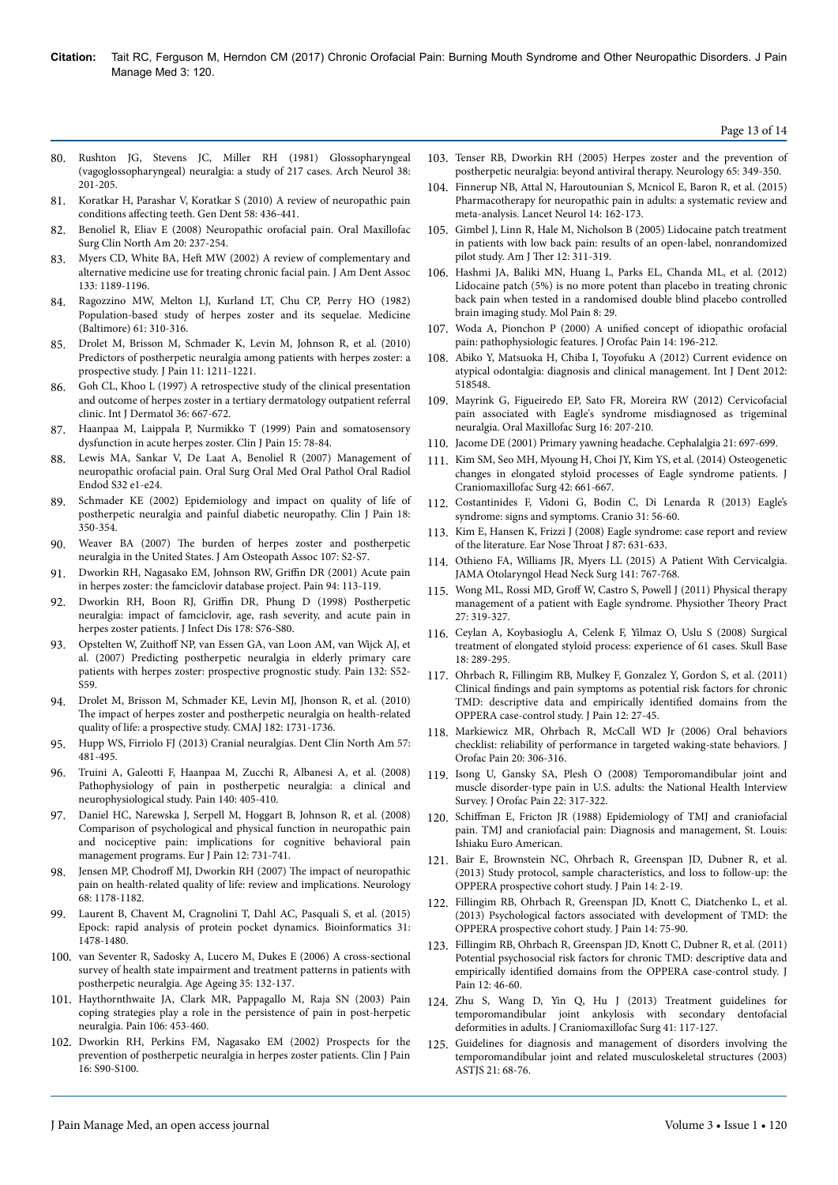#### Page 13 of 14

- 80. [Rushton JG, Stevens JC, Miller RH \(1981\) Glossopharyngeal](https://dx.doi.org/10.1001/archneur.1981.00510040027002) [\(vagoglossopharyngeal\) neuralgia: a study of 217 cases. Arch Neurol 38:](https://dx.doi.org/10.1001/archneur.1981.00510040027002) [201-205.](https://dx.doi.org/10.1001/archneur.1981.00510040027002)
- 81. Koratkar H, Parashar V, Koratkar S (2010) A review of neuropathic pain conditions affecting teeth. Gen Dent 58: 436-441.
- 82. [Benoliel R, Eliav E \(2008\) Neuropathic orofacial pain. Oral Maxillofac](https://dx.doi.org/10.1016/j.coms.2007.12.001) [Surg Clin North Am 20: 237-254.](https://dx.doi.org/10.1016/j.coms.2007.12.001)
- 83. Myers CD, White BA, Heft MW (2002) A review of complementary and alternative medicine use for treating chronic facial pain. J Am Dent Assoc 133: 1189-1196.
- 84. Ragozzino MW, Melton LJ, Kurland LT, Chu CP, Perry HO (1982) Population-based study of herpes zoster and its sequelae. Medicine (Baltimore) 61: 310-316.
- 85. [Drolet M, Brisson M, Schmader K, Levin M, Johnson R, et al. \(2010\)](https://dx.doi.org/10.1016/j.jpain.2010.02.020) [Predictors of postherpetic neuralgia among patients with herpes zoster: a](https://dx.doi.org/10.1016/j.jpain.2010.02.020) [prospective study. J Pain 11: 1211-1221.](https://dx.doi.org/10.1016/j.jpain.2010.02.020)
- 86. [Goh CL, Khoo L \(1997\) A retrospective study of the clinical presentation](https://dx.doi.org/10.1046/j.1365-4362.1997.00241.x) [and outcome of herpes zoster in a tertiary dermatology outpatient referral](https://dx.doi.org/10.1046/j.1365-4362.1997.00241.x) [clinic. Int J Dermatol 36: 667-672.](https://dx.doi.org/10.1046/j.1365-4362.1997.00241.x)
- 87. Haanpaa M, Laippala P, Nurmikko T (1999) Pain and somatosensory dysfunction in acute herpes zoster. Clin J Pain 15: 78-84.
- 88. [Lewis MA, Sankar V, De Laat A, Benoliel R \(2007\) Management of](https://dx.doi.org/10.1016/j.tripleo.2006.10.014) [neuropathic orofacial pain. Oral Surg Oral Med Oral Pathol Oral Radiol](https://dx.doi.org/10.1016/j.tripleo.2006.10.014) [Endod S32 e1-e24.](https://dx.doi.org/10.1016/j.tripleo.2006.10.014)
- 89. Schmader KE (2002) Epidemiology and impact on quality of life of postherpetic neuralgia and painful diabetic neuropathy. Clin J Pain 18: 350-354.
- 90. Weaver BA (2007) Нe burden of herpes zoster and postherpetic neuralgia in the United States. J Am Osteopath Assoc 107: S2-S7.
- 91. Dworkin RH, Nagasako EM, Johnson RW, Griffin DR (2001) Acute pain in herpes zoster: the famciclovir database project. Pain 94: 113-119.
- 92. Dworkin RH, Boon RJ, Griffin [DR, Phung D \(1998\) Postherpetic](https://dx.doi.org/10.1086/514260) [neuralgia: impact of famciclovir, age, rash severity, and acute pain in](https://dx.doi.org/10.1086/514260) [herpes zoster patients. J Infect Dis 178: S76-S80.](https://dx.doi.org/10.1086/514260)
- 93. Opstelten W, Zuithoff [NP, van Essen GA, van Loon AM, van Wijck AJ, et](https://dx.doi.org/10.1097/AJP.0b013e31824e329c) [al. \(2007\) Predicting postherpetic neuralgia in elderly primary care](https://dx.doi.org/10.1097/AJP.0b013e31824e329c) [patients with herpes zoster: prospective prognostic study. Pain 132: S52-](https://dx.doi.org/10.1097/AJP.0b013e31824e329c) [S59.](https://dx.doi.org/10.1097/AJP.0b013e31824e329c)
- 94. [Drolet M, Brisson M, Schmader KE, Levin MJ, Jhonson R, et al. \(2010\)](https://dx.doi.org/10.1503/cmaj.091711) The [impact of herpes zoster and postherpetic neuralgia on health-related](https://dx.doi.org/10.1503/cmaj.091711) [quality of life: a prospective study. CMAJ 182: 1731-1736.](https://dx.doi.org/10.1503/cmaj.091711)
- 95. [Hupp WS, Firriolo FJ \(2013\) Cranial neuralgias. Dent Clin North Am 57:](https://dx.doi.org/10.1016/j.cden.2013.04.009) [481-495.](https://dx.doi.org/10.1016/j.cden.2013.04.009)
- 96. [Truini A, Galeotti F, Haanpaa M, Zucchi R, Albanesi A, et al. \(2008\)](https://dx.doi.org/10.1016/j.pain.2008.08.018) [Pathophysiology of pain in postherpetic neuralgia: a clinical and](https://dx.doi.org/10.1016/j.pain.2008.08.018) [neurophysiological study. Pain 140: 405-410.](https://dx.doi.org/10.1016/j.pain.2008.08.018)
- 97. [Daniel HC, Narewska J, Serpell M, Hoggart B, Johnson R, et al. \(2008\)](https://dx.doi.org/10.1016/j.ejpain.2007.11.006) [Comparison of psychological and physical function in neuropathic pain](https://dx.doi.org/10.1016/j.ejpain.2007.11.006) [and nociceptive pain: implications for cognitive behavioral pain](https://dx.doi.org/10.1016/j.ejpain.2007.11.006) [management programs. Eur J Pain 12: 731-741.](https://dx.doi.org/10.1016/j.ejpain.2007.11.006)
- 98. Jensen MP, Chodroff [MJ, Dworkin RH \(2007\)](https://dx.doi.org/10.1212/01.wnl.0000259085.61898.9e) The impact of neuropathic [pain on health-related quality of life: review and implications. Neurology](https://dx.doi.org/10.1212/01.wnl.0000259085.61898.9e) [68: 1178-1182.](https://dx.doi.org/10.1212/01.wnl.0000259085.61898.9e)
- 99. [Laurent B, Chavent M, Cragnolini T, Dahl AC, Pasquali S, et al. \(2015\)](https://dx.doi.org/10.1093/bioinformatics/btu822) [Epock: rapid analysis of protein pocket dynamics. Bioinformatics 31:](https://dx.doi.org/10.1093/bioinformatics/btu822) [1478-1480.](https://dx.doi.org/10.1093/bioinformatics/btu822)
- 100. [van Seventer R, Sadosky A, Lucero M, Dukes E \(2006\) A cross-sectional](https://dx.doi.org/10.1093/ageing/afj048) [survey of health state impairment and treatment patterns in patients with](https://dx.doi.org/10.1093/ageing/afj048) [postherpetic neuralgia. Age Ageing 35: 132-137.](https://dx.doi.org/10.1093/ageing/afj048)
- 101. [Haythornthwaite JA, Clark MR, Pappagallo M, Raja SN \(2003\) Pain](https://dx.doi.org/10.1016/j.pain.2003.09.009) [coping strategies play a role in the persistence of pain in post-herpetic](https://dx.doi.org/10.1016/j.pain.2003.09.009) [neuralgia. Pain 106: 453-460.](https://dx.doi.org/10.1016/j.pain.2003.09.009)
- 102. Dworkin RH, Perkins FM, Nagasako EM (2002) Prospects for the prevention of postherpetic neuralgia in herpes zoster patients. Clin J Pain 16: S90-S100.
- 103. [Tenser RB, Dworkin RH \(2005\) Herpes zoster and the prevention of](http://dx.doi.org/10.1212/01.wnl.0000173198.07267.8f) [postherpetic neuralgia: beyond antiviral therapy. Neurology 65: 349-350.](http://dx.doi.org/10.1212/01.wnl.0000173198.07267.8f)
- 104. [Finnerup NB, Attal N, Haroutounian S, Mcnicol E, Baron R, et al. \(2015\)](https://dx.doi.org/10.1016/S1474-4422(14)70251-0) [Pharmacotherapy for neuropathic pain in adults: a systematic review and](https://dx.doi.org/10.1016/S1474-4422(14)70251-0) [meta-analysis. Lancet Neurol 14: 162-173.](https://dx.doi.org/10.1016/S1474-4422(14)70251-0)
- 105. Gimbel J, Linn R, Hale M, Nicholson B (2005) Lidocaine patch treatment in patients with low back pain: results of an open-label, nonrandomized pilot study. Am J Нer 12: 311-319.
- 106. [Hashmi JA, Baliki MN, Huang L, Parks EL, Chanda ML, et al. \(2012\)](https://dx.doi.org/10.1186/1744-8069-8-29) [Lidocaine patch \(5%\) is no more potent than placebo in treating chronic](https://dx.doi.org/10.1186/1744-8069-8-29) [back pain when tested in a randomised double blind placebo controlled](https://dx.doi.org/10.1186/1744-8069-8-29) [brain imaging study. Mol Pain 8: 29.](https://dx.doi.org/10.1186/1744-8069-8-29)
- 107. Woda A, Pionchon P (2000) A unified concept of idiopathic orofacial pain: pathophysiologic features. J Orofac Pain 14: 196-212.
- 108. [Abiko Y, Matsuoka H, Chiba I, Toyofuku A \(2012\) Current evidence on](http://dx.doi.org/10.1155/2012/518548) [atypical odontalgia: diagnosis and clinical management. Int J Dent 2012:](http://dx.doi.org/10.1155/2012/518548) [518548.](http://dx.doi.org/10.1155/2012/518548)
- 109. [Mayrink G, Figueiredo EP, Sato FR, Moreira RW \(2012\) Cervicofacial](https://dx.doi.org/10.1007/s10006-011-0276-7) [pain associated with Eagle's syndrome misdiagnosed as trigeminal](https://dx.doi.org/10.1007/s10006-011-0276-7) [neuralgia. Oral Maxillofac Surg 16: 207-210.](https://dx.doi.org/10.1007/s10006-011-0276-7)
- 110. Jacome DE (2001) Primary yawning headache. Cephalalgia 21: 697-699.
- 111. [Kim SM, Seo MH, Myoung H, Choi JY, Kim YS, et al. \(2014\) Osteogenetic](https://dx.doi.org/10.1016/j.jcms.2013.09.012) [changes in elongated styloid processes of Eagle syndrome patients. J](https://dx.doi.org/10.1016/j.jcms.2013.09.012) [Craniomaxillofac Surg 42: 661-667.](https://dx.doi.org/10.1016/j.jcms.2013.09.012)
- 112. [Costantinides F, Vidoni G, Bodin C, Di Lenarda R \(2013\) Eagle's](https://dx.doi.org/10.1179/crn.2013.008) [syndrome: signs and symptoms. Cranio 31: 56-60.](https://dx.doi.org/10.1179/crn.2013.008)
- 113. Kim E, Hansen K, Frizzi J (2008) Eagle syndrome: case report and review of the literature. Ear Nose Нroat J 87: 631-633.
- 114. [Othieno FA, Williams JR, Myers LL \(2015\) A Patient With Cervicalgia.](https://dx.doi.org/10.1001/jamaoto.2015.1225) [JAMA Otolaryngol Head Neck Surg 141: 767-768.](https://dx.doi.org/10.1001/jamaoto.2015.1225)
- 115. Wong ML, Rossi MD, Groff [W, Castro S, Powell J \(2011\) Physical therapy](https://dx.doi.org/10.3109/09593985.2010.498036) [management of a patient with Eagle syndrome. Physiother](https://dx.doi.org/10.3109/09593985.2010.498036) Theory Pract [27: 319-327.](https://dx.doi.org/10.3109/09593985.2010.498036)
- 116. [Ceylan A, Koybasioglu A, Celenk F, Yilmaz O, Uslu S \(2008\) Surgical](https://dx.doi.org/10.1055/s-0028-1086057) [treatment of elongated styloid process: experience of 61 cases. Skull Base](https://dx.doi.org/10.1055/s-0028-1086057) [18: 289-295.](https://dx.doi.org/10.1055/s-0028-1086057)
- 117. [Ohrbach R, Fillingim RB, Mulkey F, Gonzalez Y, Gordon S, et al. \(2011\)](https://dx.doi.org/10.1016/j.jpain.2011.09.001) Clinical findings [and pain symptoms as potential risk factors for chronic](https://dx.doi.org/10.1016/j.jpain.2011.09.001) [TMD: descriptive data and empirically](https://dx.doi.org/10.1016/j.jpain.2011.09.001) identified domains from the [OPPERA case-control study. J Pain 12: 27-45.](https://dx.doi.org/10.1016/j.jpain.2011.09.001)
- 118. Markiewicz MR, Ohrbach R, McCall WD Jr (2006) Oral behaviors checklist: reliability of performance in targeted waking-state behaviors. J Orofac Pain 20: 306-316.
- 119. Isong U, Gansky SA, Plesh O (2008) Temporomandibular joint and muscle disorder-type pain in U.S. adults: the National Health Interview Survey. J Orofac Pain 22: 317-322.
- 120. Schiffman E, Fricton JR (1988) Epidemiology of TMJ and craniofacial pain. TMJ and craniofacial pain: Diagnosis and management, St. Louis: Ishiaku Euro American.
- 121. [Bair E, Brownstein NC, Ohrbach R, Greenspan JD, Dubner R, et al.](https://dx.doi.org/10.1016/j.jpain.2013.06.006) [\(2013\) Study protocol, sample characteristics, and loss to follow-up: the](https://dx.doi.org/10.1016/j.jpain.2013.06.006) [OPPERA prospective cohort study. J Pain 14: 2-19.](https://dx.doi.org/10.1016/j.jpain.2013.06.006)
- 122. [Fillingim RB, Ohrbach R, Greenspan JD, Knott C, Diatchenko L, et al.](https://dx.doi.org/10.1016/j.jpain.2013.06.009) [\(2013\) Psychological factors associated with development of TMD: the](https://dx.doi.org/10.1016/j.jpain.2013.06.009) [OPPERA prospective cohort study. J Pain 14: 75-90.](https://dx.doi.org/10.1016/j.jpain.2013.06.009)
- 123. [Fillingim RB, Ohrbach R, Greenspan JD, Knott C, Dubner R, et al. \(2011\)](https://dx.doi.org/10.1016/j.jpain.2011.08.007) [Potential psychosocial risk factors for chronic TMD: descriptive data and](https://dx.doi.org/10.1016/j.jpain.2011.08.007) empirically identified [domains from the OPPERA case-control study. J](https://dx.doi.org/10.1016/j.jpain.2011.08.007) [Pain 12: 46-60.](https://dx.doi.org/10.1016/j.jpain.2011.08.007)
- 124. [Zhu S, Wang D, Yin Q, Hu J \(2013\) Treatment guidelines for](https://dx.doi.org/10.1016/j.jcms.2012.11.038) temporomandibular joint ankylosis with secondary [deformities in adults. J Craniomaxillofac Surg 41: 117-127.](https://dx.doi.org/10.1016/j.jcms.2012.11.038)
- 125. Guidelines for diagnosis and management of disorders involving the temporomandibular joint and related musculoskeletal structures (2003) ASTJS 21: 68-76.